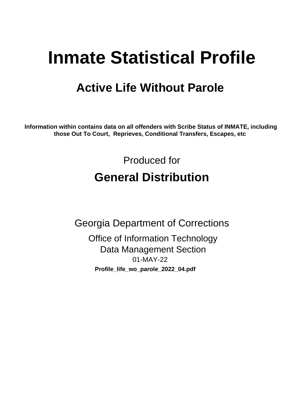# **Inmate Statistical Profile**

## **Active Life Without Parole**

Information within contains data on all offenders with Scribe Status of INMATE, including those Out To Court, Reprieves, Conditional Transfers, Escapes, etc

> Produced for **General Distribution**

**Georgia Department of Corrections Office of Information Technology Data Management Section** 01-MAY-22 Profile\_life\_wo\_parole\_2022\_04.pdf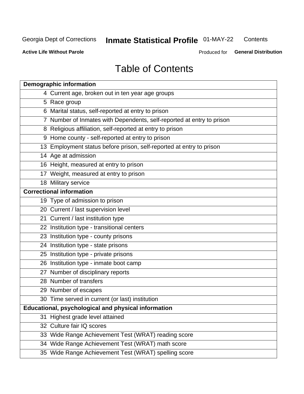#### **Inmate Statistical Profile 01-MAY-22** Contents

**Active Life Without Parole** 

Produced for General Distribution

## **Table of Contents**

|    | <b>Demographic information</b>                                        |
|----|-----------------------------------------------------------------------|
|    | 4 Current age, broken out in ten year age groups                      |
|    | 5 Race group                                                          |
|    | 6 Marital status, self-reported at entry to prison                    |
|    | 7 Number of Inmates with Dependents, self-reported at entry to prison |
|    | 8 Religious affiliation, self-reported at entry to prison             |
|    | 9 Home county - self-reported at entry to prison                      |
|    | 13 Employment status before prison, self-reported at entry to prison  |
|    | 14 Age at admission                                                   |
|    | 16 Height, measured at entry to prison                                |
|    | 17 Weight, measured at entry to prison                                |
|    | 18 Military service                                                   |
|    | <b>Correctional information</b>                                       |
|    | 19 Type of admission to prison                                        |
|    | 20 Current / last supervision level                                   |
|    | 21 Current / last institution type                                    |
|    | 22 Institution type - transitional centers                            |
|    | 23 Institution type - county prisons                                  |
|    | 24 Institution type - state prisons                                   |
|    | 25 Institution type - private prisons                                 |
|    | 26 Institution type - inmate boot camp                                |
|    | 27 Number of disciplinary reports                                     |
|    | 28 Number of transfers                                                |
|    | 29 Number of escapes                                                  |
|    | 30 Time served in current (or last) institution                       |
|    | Educational, psychological and physical information                   |
| 31 | Highest grade level attained                                          |
|    | 32 Culture fair IQ scores                                             |
|    | 33 Wide Range Achievement Test (WRAT) reading score                   |
|    | 34 Wide Range Achievement Test (WRAT) math score                      |
|    | 35 Wide Range Achievement Test (WRAT) spelling score                  |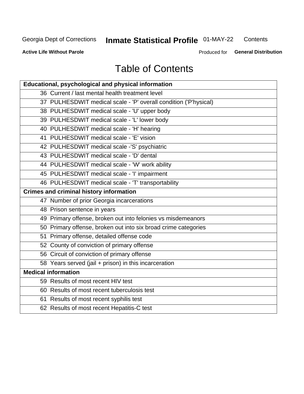## **Inmate Statistical Profile 01-MAY-22**

Contents

**Active Life Without Parole** 

Produced for General Distribution

## **Table of Contents**

| Educational, psychological and physical information              |
|------------------------------------------------------------------|
| 36 Current / last mental health treatment level                  |
| 37 PULHESDWIT medical scale - 'P' overall condition ('P'hysical) |
| 38 PULHESDWIT medical scale - 'U' upper body                     |
| 39 PULHESDWIT medical scale - 'L' lower body                     |
| 40 PULHESDWIT medical scale - 'H' hearing                        |
| 41 PULHESDWIT medical scale - 'E' vision                         |
| 42 PULHESDWIT medical scale -'S' psychiatric                     |
| 43 PULHESDWIT medical scale - 'D' dental                         |
| 44 PULHESDWIT medical scale - 'W' work ability                   |
| 45 PULHESDWIT medical scale - 'I' impairment                     |
| 46 PULHESDWIT medical scale - 'T' transportability               |
| <b>Crimes and criminal history information</b>                   |
| 47 Number of prior Georgia incarcerations                        |
| 48 Prison sentence in years                                      |
| 49 Primary offense, broken out into felonies vs misdemeanors     |
| 50 Primary offense, broken out into six broad crime categories   |
| 51 Primary offense, detailed offense code                        |
| 52 County of conviction of primary offense                       |
| 56 Circuit of conviction of primary offense                      |
| 58 Years served (jail + prison) in this incarceration            |
| <b>Medical information</b>                                       |
| 59 Results of most recent HIV test                               |
| 60 Results of most recent tuberculosis test                      |
| 61 Results of most recent syphilis test                          |
| 62 Results of most recent Hepatitis-C test                       |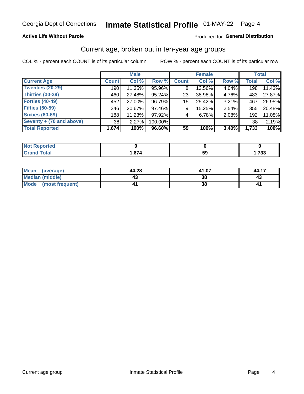#### **Active Life Without Parole**

#### Produced for General Distribution

### Current age, broken out in ten-year age groups

COL % - percent each COUNT is of its particular column

|                          | <b>Male</b>     |        |         | <b>Female</b> |        |       |              | <b>Total</b> |
|--------------------------|-----------------|--------|---------|---------------|--------|-------|--------------|--------------|
| <b>Current Age</b>       | <b>Count</b>    | Col %  | Row %   | <b>Count</b>  | Col %  | Row % | <b>Total</b> | Col %        |
| <b>Twenties (20-29)</b>  | 190             | 11.35% | 95.96%  | 8             | 13.56% | 4.04% | 198          | 11.43%       |
| Thirties (30-39)         | 460             | 27.48% | 95.24%  | 23            | 38.98% | 4.76% | 483          | 27.87%       |
| <b>Forties (40-49)</b>   | 452             | 27.00% | 96.79%  | 15            | 25.42% | 3.21% | 467          | 26.95%       |
| <b>Fifties (50-59)</b>   | 346             | 20.67% | 97.46%  | 9             | 15.25% | 2.54% | 355          | 20.48%       |
| <b>Sixties (60-69)</b>   | 188             | 11.23% | 97.92%  | 4             | 6.78%  | 2.08% | 192          | 11.08%       |
| Seventy + (70 and above) | 38 <sup>1</sup> | 2.27%  | 100.00% |               |        |       | 38           | 2.19%        |
| <b>Total Reported</b>    | 1,674           | 100%   | 96.60%  | 59            | 100%   | 3.40% | 1,733        | 100%         |

| <b>Reported</b><br><b>NOT B</b><br> |                      |    |              |
|-------------------------------------|----------------------|----|--------------|
| <b>Total</b><br>Granu               | $\sim$ $\sim$ $\sim$ | ວະ | フつつ<br>, د , |

| <b>Mean</b><br>(average) | 44.28 | 41.07 | 44.17 |
|--------------------------|-------|-------|-------|
| <b>Median (middle)</b>   | د4    | 38    | 4.    |
| Mode<br>(most frequent)  |       | 38    | 4     |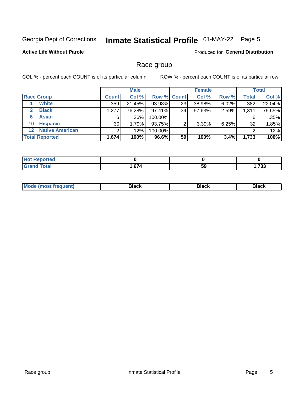## Inmate Statistical Profile 01-MAY-22 Page 5

#### **Active Life Without Parole**

**Produced for General Distribution** 

### Race group

COL % - percent each COUNT is of its particular column

|                       |                        | <b>Male</b>     |         |         | <b>Female</b>      |        |       |              | <b>Total</b> |
|-----------------------|------------------------|-----------------|---------|---------|--------------------|--------|-------|--------------|--------------|
|                       | <b>Race Group</b>      | <b>Count</b>    | Col %   |         | <b>Row % Count</b> | Col %  | Row % | <b>Total</b> | Col %        |
|                       | <b>White</b>           | 359             | 21.45%  | 93.98%  | 23                 | 38.98% | 6.02% | 382          | 22.04%       |
| $\mathbf{2}$          | <b>Black</b>           | 1,277           | 76.28%  | 97.41%  | 34                 | 57.63% | 2.59% | 1,311        | 75.65%       |
| 6                     | <b>Asian</b>           | 6               | $.36\%$ | 100.00% |                    |        |       | 6            | .35%         |
| 10                    | <b>Hispanic</b>        | 30 <sup>1</sup> | 1.79%   | 93.75%  |                    | 3.39%  | 6.25% | 32           | 1.85%        |
| $12 \,$               | <b>Native American</b> | ◠               | .12%    | 100.00% |                    |        |       | 2            | .12%         |
| <b>Total Reported</b> |                        | 1,674           | 100%    | 96.6%   | 59                 | 100%   | 3.4%  | 1,733        | 100%         |

| rreol                 |          |    |              |
|-----------------------|----------|----|--------------|
| $f \wedge f \wedge f$ | 67<br>,, | 59 | 700<br>ככ ו, |

| –•••• |  | M |  |  |  |
|-------|--|---|--|--|--|
|-------|--|---|--|--|--|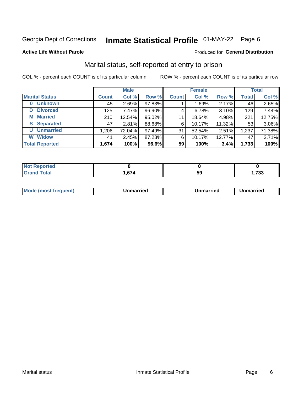## Inmate Statistical Profile 01-MAY-22 Page 6

#### **Active Life Without Parole**

#### Produced for General Distribution

### Marital status, self-reported at entry to prison

COL % - percent each COUNT is of its particular column

|                            |              | <b>Male</b> |        |              | <b>Female</b> |        |              | <b>Total</b> |
|----------------------------|--------------|-------------|--------|--------------|---------------|--------|--------------|--------------|
| <b>Marital Status</b>      | <b>Count</b> | Col %       | Row %  | <b>Count</b> | Col %         | Row %  | <b>Total</b> | Col %        |
| <b>Unknown</b><br>$\bf{0}$ | 45           | 2.69%       | 97.83% |              | 1.69%         | 2.17%  | 46           | 2.65%        |
| <b>Divorced</b><br>D       | 125          | 7.47%       | 96.90% | 4            | 6.78%         | 3.10%  | 129          | 7.44%        |
| <b>Married</b><br>М        | 210          | 12.54%      | 95.02% | 11           | 18.64%        | 4.98%  | 221          | 12.75%       |
| <b>S</b> Separated         | 47           | 2.81%       | 88.68% | 6            | 10.17%        | 11.32% | 53           | 3.06%        |
| <b>Unmarried</b><br>U      | 1,206        | 72.04%      | 97.49% | 31           | 52.54%        | 2.51%  | 1,237        | 71.38%       |
| <b>Widow</b><br>W          | 41           | 2.45%       | 87.23% | 6            | 10.17%        | 12.77% | 47           | 2.71%        |
| <b>Total Reported</b>      | 1,674        | 100%        | 96.6%  | 59           | 100%          | 3.4%   | 1,733        | 100%         |

| rted<br>NO |        |    |             |
|------------|--------|----|-------------|
|            | $\sim$ | ວະ | 722<br>,733 |

|  | M | . | Unmarried | າmarried<br>_____ |
|--|---|---|-----------|-------------------|
|--|---|---|-----------|-------------------|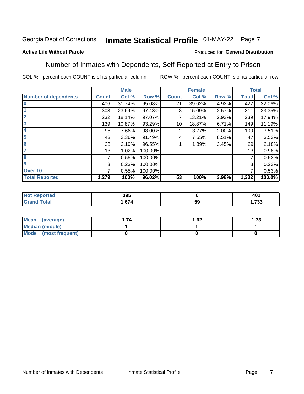#### Inmate Statistical Profile 01-MAY-22 Page 7

#### **Active Life Without Parole**

#### Produced for General Distribution

### Number of Inmates with Dependents, Self-Reported at Entry to Prison

COL % - percent each COUNT is of its particular column

|                             |              | <b>Male</b> |         |              | <b>Female</b> |       |              | <b>Total</b> |
|-----------------------------|--------------|-------------|---------|--------------|---------------|-------|--------------|--------------|
| <b>Number of dependents</b> | <b>Count</b> | Col %       | Row %   | <b>Count</b> | Col %         | Row % | <b>Total</b> | Col %        |
| $\bf{0}$                    | 406          | 31.74%      | 95.08%  | 21           | 39.62%        | 4.92% | 427          | 32.06%       |
|                             | 303          | 23.69%      | 97.43%  | 8            | 15.09%        | 2.57% | 311          | 23.35%       |
| $\overline{2}$              | 232          | 18.14%      | 97.07%  |              | 13.21%        | 2.93% | 239          | 17.94%       |
| 3                           | 139          | 10.87%      | 93.29%  | 10           | 18.87%        | 6.71% | 149          | 11.19%       |
| 4                           | 98           | 7.66%       | 98.00%  | 2            | 3.77%         | 2.00% | 100          | 7.51%        |
| 5                           | 43           | 3.36%       | 91.49%  | 4            | 7.55%         | 8.51% | 47           | 3.53%        |
| $6\phantom{1}6$             | 28           | 2.19%       | 96.55%  |              | 1.89%         | 3.45% | 29           | 2.18%        |
| 7                           | 13           | 1.02%       | 100.00% |              |               |       | 13           | 0.98%        |
| 8                           | 7            | 0.55%       | 100.00% |              |               |       | 7            | 0.53%        |
| $\boldsymbol{9}$            | 3            | 0.23%       | 100.00% |              |               |       | 3            | 0.23%        |
| Over 10                     | 7            | 0.55%       | 100.00% |              |               |       | 7            | 0.53%        |
| <b>Total Reported</b>       | 1,279        | 100%        | 96.02%  | 53           | 100%          | 3.98% | 1,332        | 100.0%       |

| 395<br>- - -            |           | 401<br>$ -$    |
|-------------------------|-----------|----------------|
| $\sim$ 7 $\prime$<br>74 | E C<br>ວະ | 700<br>. . ו . |

| <b>Mean</b><br>(average) | 1.62 | - 72<br>I. I J |
|--------------------------|------|----------------|
| Median (middle)          |      |                |
| Mode<br>(most frequent)  |      |                |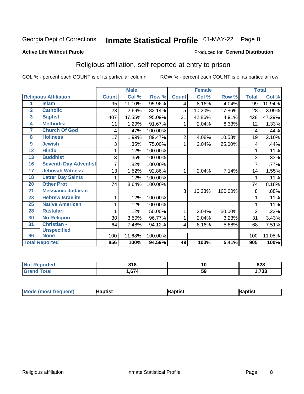## Inmate Statistical Profile 01-MAY-22 Page 8

#### **Active Life Without Parole**

#### Produced for General Distribution

### Religious affiliation, self-reported at entry to prison

COL % - percent each COUNT is of its particular column

|                         |                              |              | <b>Male</b> |         |                | <b>Female</b>             |         |                | <b>Total</b> |
|-------------------------|------------------------------|--------------|-------------|---------|----------------|---------------------------|---------|----------------|--------------|
|                         | <b>Religious Affiliation</b> | <b>Count</b> | Col %       | Row %   | <b>Count</b>   | $\overline{\text{Col}}$ % | Row %   | <b>Total</b>   | Col %        |
| 1                       | <b>Islam</b>                 | 95           | 11.10%      | 95.96%  | 4              | 8.16%                     | 4.04%   | 99             | 10.94%       |
| $\overline{2}$          | <b>Catholic</b>              | 23           | 2.69%       | 82.14%  | 5              | 10.20%                    | 17.86%  | 28             | 3.09%        |
| $\overline{\mathbf{3}}$ | <b>Baptist</b>               | 407          | 47.55%      | 95.09%  | 21             | 42.86%                    | 4.91%   | 428            | 47.29%       |
| $\overline{4}$          | <b>Methodist</b>             | 11           | 1.29%       | 91.67%  |                | 2.04%                     | 8.33%   | 12             | 1.33%        |
| 7                       | <b>Church Of God</b>         | 4            | .47%        | 100.00% |                |                           |         | 4              | .44%         |
| 8                       | <b>Holiness</b>              | 17           | 1.99%       | 89.47%  | $\overline{2}$ | 4.08%                     | 10.53%  | 19             | 2.10%        |
| 9                       | <b>Jewish</b>                | 3            | .35%        | 75.00%  | 1              | 2.04%                     | 25.00%  | 4              | .44%         |
| $\overline{12}$         | <b>Hindu</b>                 |              | .12%        | 100.00% |                |                           |         |                | .11%         |
| 13                      | <b>Buddhist</b>              | 3            | .35%        | 100.00% |                |                           |         | 3              | .33%         |
| 16                      | <b>Seventh Day Adventist</b> | 7            | .82%        | 100.00% |                |                           |         | 7              | .77%         |
| 17                      | <b>Jehovah Witness</b>       | 13           | 1.52%       | 92.86%  |                | 2.04%                     | 7.14%   | 14             | 1.55%        |
| 18                      | <b>Latter Day Saints</b>     | 1            | .12%        | 100.00% |                |                           |         | 1              | .11%         |
| 20                      | <b>Other Prot</b>            | 74           | 8.64%       | 100.00% |                |                           |         | 74             | 8.18%        |
| 21                      | <b>Messianic Judaism</b>     |              |             |         | 8              | 16.33%                    | 100.00% | 8              | .88%         |
| 23                      | <b>Hebrew Israelite</b>      | 1            | .12%        | 100.00% |                |                           |         |                | .11%         |
| 25                      | <b>Native American</b>       |              | .12%        | 100.00% |                |                           |         |                | .11%         |
| 28                      | <b>Rastafari</b>             |              | .12%        | 50.00%  | 1              | 2.04%                     | 50.00%  | $\overline{2}$ | .22%         |
| 30                      | <b>No Religion</b>           | 30           | 3.50%       | 96.77%  | 1              | 2.04%                     | 3.23%   | 31             | 3.43%        |
| 31                      | Christian -                  | 64           | 7.48%       | 94.12%  | 4              | 8.16%                     | 5.88%   | 68             | 7.51%        |
|                         | <b>Unspecified</b>           |              |             |         |                |                           |         |                |              |
| 96                      | <b>None</b>                  | 100          | 11.68%      | 100.00% |                |                           |         | 100            | 11.05%       |
|                         | <b>Total Reported</b>        | 856          | 100%        | 94.59%  | 49             | 100%                      | 5.41%   | 905            | 100%         |

| <b>Reported</b><br>' NOT | 040<br>D I O | 1Ο | 828      |
|--------------------------|--------------|----|----------|
| <b>otal</b>              | $\sim$<br>u  | 59 | フクク<br>. |

| <b>Mode (most frequent)</b> | aptist | Baptist | Baptist |
|-----------------------------|--------|---------|---------|
|-----------------------------|--------|---------|---------|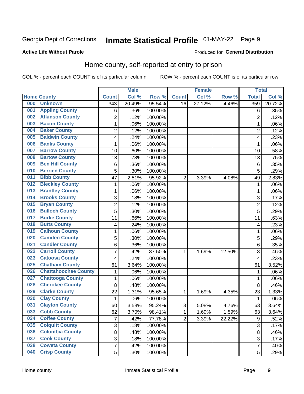## Inmate Statistical Profile 01-MAY-22 Page 9

#### **Active Life Without Parole**

#### Produced for General Distribution

### Home county, self-reported at entry to prison

COL % - percent each COUNT is of its particular column

|     |                             |                  | <b>Male</b> |         |                | <b>Female</b> |        | <b>Total</b>     |        |
|-----|-----------------------------|------------------|-------------|---------|----------------|---------------|--------|------------------|--------|
|     | <b>Home County</b>          | <b>Count</b>     | Col %       | Row %   | <b>Count</b>   | Col %         | Row %  | <b>Total</b>     | Col %  |
| 000 | <b>Unknown</b>              | $\overline{343}$ | 20.49%      | 95.54%  | 16             | 27.12%        | 4.46%  | 359              | 20.72% |
| 001 | <b>Appling County</b>       | 6                | .36%        | 100.00% |                |               |        | 6                | .35%   |
| 002 | <b>Atkinson County</b>      | $\overline{2}$   | .12%        | 100.00% |                |               |        | $\overline{2}$   | .12%   |
| 003 | <b>Bacon County</b>         | 1                | .06%        | 100.00% |                |               |        | 1                | .06%   |
| 004 | <b>Baker County</b>         | $\overline{2}$   | .12%        | 100.00% |                |               |        | $\overline{2}$   | .12%   |
| 005 | <b>Baldwin County</b>       | 4                | .24%        | 100.00% |                |               |        | 4                | .23%   |
| 006 | <b>Banks County</b>         | $\mathbf{1}$     | .06%        | 100.00% |                |               |        | 1                | .06%   |
| 007 | <b>Barrow County</b>        | 10               | .60%        | 100.00% |                |               |        | 10               | .58%   |
| 008 | <b>Bartow County</b>        | 13               | .78%        | 100.00% |                |               |        | 13               | .75%   |
| 009 | <b>Ben Hill County</b>      | 6                | .36%        | 100.00% |                |               |        | 6                | .35%   |
| 010 | <b>Berrien County</b>       | 5                | .30%        | 100.00% |                |               |        | 5                | .29%   |
| 011 | <b>Bibb County</b>          | 47               | 2.81%       | 95.92%  | $\overline{2}$ | 3.39%         | 4.08%  | 49               | 2.83%  |
| 012 | <b>Bleckley County</b>      | 1                | .06%        | 100.00% |                |               |        | 1                | .06%   |
| 013 | <b>Brantley County</b>      | $\mathbf{1}$     | .06%        | 100.00% |                |               |        | 1                | .06%   |
| 014 | <b>Brooks County</b>        | 3                | .18%        | 100.00% |                |               |        | 3                | .17%   |
| 015 | <b>Bryan County</b>         | $\overline{c}$   | .12%        | 100.00% |                |               |        | $\overline{2}$   | .12%   |
| 016 | <b>Bulloch County</b>       | 5                | .30%        | 100.00% |                |               |        | 5                | .29%   |
| 017 | <b>Burke County</b>         | 11               | .66%        | 100.00% |                |               |        | 11               | .63%   |
| 018 | <b>Butts County</b>         | 4                | .24%        | 100.00% |                |               |        | 4                | .23%   |
| 019 | <b>Calhoun County</b>       | 1                | .06%        | 100.00% |                |               |        | 1                | .06%   |
| 020 | <b>Camden County</b>        | 5                | .30%        | 100.00% |                |               |        | 5                | .29%   |
| 021 | <b>Candler County</b>       | 6                | .36%        | 100.00% |                |               |        | 6                | .35%   |
| 022 | <b>Carroll County</b>       | $\overline{7}$   | .42%        | 87.50%  | 1              | 1.69%         | 12.50% | 8                | .46%   |
| 023 | <b>Catoosa County</b>       | 4                | .24%        | 100.00% |                |               |        | 4                | .23%   |
| 025 | <b>Chatham County</b>       | 61               | 3.64%       | 100.00% |                |               |        | 61               | 3.52%  |
| 026 | <b>Chattahoochee County</b> | 1                | .06%        | 100.00% |                |               |        | 1                | .06%   |
| 027 | <b>Chattooga County</b>     | $\mathbf{1}$     | .06%        | 100.00% |                |               |        | 1                | .06%   |
| 028 | <b>Cherokee County</b>      | 8                | .48%        | 100.00% |                |               |        | 8                | .46%   |
| 029 | <b>Clarke County</b>        | 22               | 1.31%       | 95.65%  | $\mathbf{1}$   | 1.69%         | 4.35%  | 23               | 1.33%  |
| 030 | <b>Clay County</b>          | 1                | .06%        | 100.00% |                |               |        | 1                | .06%   |
| 031 | <b>Clayton County</b>       | 60               | 3.58%       | 95.24%  | $\mathbf{3}$   | 5.08%         | 4.76%  | 63               | 3.64%  |
| 033 | <b>Cobb County</b>          | 62               | 3.70%       | 98.41%  | 1              | 1.69%         | 1.59%  | 63               | 3.64%  |
| 034 | <b>Coffee County</b>        | 7                | .42%        | 77.78%  | $\overline{2}$ | 3.39%         | 22.22% | $\boldsymbol{9}$ | .52%   |
| 035 | <b>Colquitt County</b>      | 3                | .18%        | 100.00% |                |               |        | $\overline{3}$   | .17%   |
| 036 | <b>Columbia County</b>      | 8                | .48%        | 100.00% |                |               |        | 8                | .46%   |
| 037 | <b>Cook County</b>          | 3                | .18%        | 100.00% |                |               |        | 3                | .17%   |
| 038 | <b>Coweta County</b>        | 7                | .42%        | 100.00% |                |               |        | 7                | .40%   |
| 040 | <b>Crisp County</b>         | 5                | .30%        | 100.00% |                |               |        | 5                | .29%   |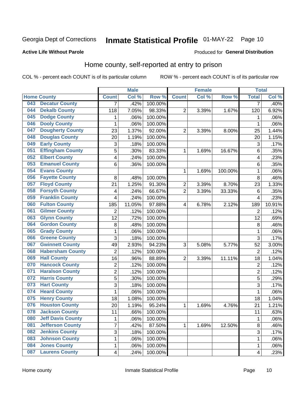## Inmate Statistical Profile 01-MAY-22 Page 10

#### **Active Life Without Parole**

#### Produced for General Distribution

### Home county, self-reported at entry to prison

COL % - percent each COUNT is of its particular column

|     |                          |                         | <b>Male</b> |         |                  | <b>Female</b> |         | <b>Total</b>            |        |
|-----|--------------------------|-------------------------|-------------|---------|------------------|---------------|---------|-------------------------|--------|
|     | <b>Home County</b>       | <b>Count</b>            | Col %       | Row %   | <b>Count</b>     | Col %         | Row %   | <b>Total</b>            | Col %  |
| 043 | <b>Decatur County</b>    | 7                       | .42%        | 100.00% |                  |               |         | 7                       | .40%   |
| 044 | <b>Dekalb County</b>     | 118                     | 7.05%       | 98.33%  | $\overline{2}$   | 3.39%         | 1.67%   | 120                     | 6.92%  |
| 045 | <b>Dodge County</b>      | 1                       | .06%        | 100.00% |                  |               |         | 1                       | .06%   |
| 046 | <b>Dooly County</b>      | 1                       | .06%        | 100.00% |                  |               |         | 1                       | .06%   |
| 047 | <b>Dougherty County</b>  | 23                      | 1.37%       | 92.00%  | $\overline{2}$   | 3.39%         | 8.00%   | 25                      | 1.44%  |
| 048 | <b>Douglas County</b>    | 20                      | 1.19%       | 100.00% |                  |               |         | 20                      | 1.15%  |
| 049 | <b>Early County</b>      | 3                       | .18%        | 100.00% |                  |               |         | 3                       | .17%   |
| 051 | <b>Effingham County</b>  | 5                       | .30%        | 83.33%  | 1                | 1.69%         | 16.67%  | 6                       | .35%   |
| 052 | <b>Elbert County</b>     | 4                       | .24%        | 100.00% |                  |               |         | $\overline{\mathbf{4}}$ | .23%   |
| 053 | <b>Emanuel County</b>    | 6                       | .36%        | 100.00% |                  |               |         | 6                       | .35%   |
| 054 | <b>Evans County</b>      |                         |             |         | 1                | 1.69%         | 100.00% | 1                       | .06%   |
| 056 | <b>Fayette County</b>    | 8                       | .48%        | 100.00% |                  |               |         | 8                       | .46%   |
| 057 | <b>Floyd County</b>      | 21                      | 1.25%       | 91.30%  | $\boldsymbol{2}$ | 3.39%         | 8.70%   | 23                      | 1.33%  |
| 058 | <b>Forsyth County</b>    | 4                       | .24%        | 66.67%  | $\overline{2}$   | 3.39%         | 33.33%  | 6                       | .35%   |
| 059 | <b>Franklin County</b>   | 4                       | .24%        | 100.00% |                  |               |         | $\overline{4}$          | .23%   |
| 060 | <b>Fulton County</b>     | 185                     | 11.05%      | 97.88%  | 4                | 6.78%         | 2.12%   | 189                     | 10.91% |
| 061 | <b>Gilmer County</b>     | $\overline{2}$          | .12%        | 100.00% |                  |               |         | $\overline{2}$          | .12%   |
| 063 | <b>Glynn County</b>      | 12                      | .72%        | 100.00% |                  |               |         | 12                      | .69%   |
| 064 | <b>Gordon County</b>     | 8                       | .48%        | 100.00% |                  |               |         | 8                       | .46%   |
| 065 | <b>Grady County</b>      | $\mathbf 1$             | .06%        | 100.00% |                  |               |         | 1                       | .06%   |
| 066 | <b>Greene County</b>     | 3                       | .18%        | 100.00% |                  |               |         | 3                       | .17%   |
| 067 | <b>Gwinnett County</b>   | 49                      | 2.93%       | 94.23%  | 3                | 5.08%         | 5.77%   | 52                      | 3.00%  |
| 068 | <b>Habersham County</b>  | $\overline{2}$          | .12%        | 100.00% |                  |               |         | $\overline{2}$          | .12%   |
| 069 | <b>Hall County</b>       | 16                      | .96%        | 88.89%  | $\overline{2}$   | 3.39%         | 11.11%  | 18                      | 1.04%  |
| 070 | <b>Hancock County</b>    | 2                       | .12%        | 100.00% |                  |               |         | $\overline{c}$          | .12%   |
| 071 | <b>Haralson County</b>   | $\overline{2}$          | .12%        | 100.00% |                  |               |         | $\overline{2}$          | .12%   |
| 072 | <b>Harris County</b>     | 5                       | .30%        | 100.00% |                  |               |         | $\overline{5}$          | .29%   |
| 073 | <b>Hart County</b>       | 3                       | .18%        | 100.00% |                  |               |         | $\overline{3}$          | .17%   |
| 074 | <b>Heard County</b>      | $\mathbf{1}$            | .06%        | 100.00% |                  |               |         | 1                       | .06%   |
| 075 | <b>Henry County</b>      | 18                      | 1.08%       | 100.00% |                  |               |         | 18                      | 1.04%  |
| 076 | <b>Houston County</b>    | 20                      | 1.19%       | 95.24%  | 1                | 1.69%         | 4.76%   | 21                      | 1.21%  |
| 078 | <b>Jackson County</b>    | 11                      | .66%        | 100.00% |                  |               |         | 11                      | .63%   |
| 080 | <b>Jeff Davis County</b> | 1                       | .06%        | 100.00% |                  |               |         | 1                       | .06%   |
| 081 | <b>Jefferson County</b>  | $\overline{7}$          | .42%        | 87.50%  | 1                | 1.69%         | 12.50%  | 8                       | .46%   |
| 082 | <b>Jenkins County</b>    | $\overline{3}$          | .18%        | 100.00% |                  |               |         | 3                       | .17%   |
| 083 | <b>Johnson County</b>    | 1                       | .06%        | 100.00% |                  |               |         | 1                       | .06%   |
| 084 | <b>Jones County</b>      | $\mathbf{1}$            | .06%        | 100.00% |                  |               |         | 1                       | .06%   |
| 087 | <b>Laurens County</b>    | $\overline{\mathbf{4}}$ | .24%        | 100.00% |                  |               |         | $\overline{\mathbf{4}}$ | .23%   |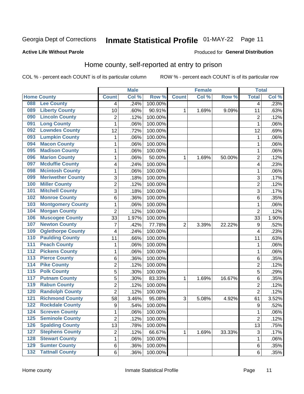## Inmate Statistical Profile 01-MAY-22 Page 11

#### **Active Life Without Parole**

#### Produced for General Distribution

### Home county, self-reported at entry to prison

COL % - percent each COUNT is of its particular column

|                  |                          |                         | <b>Male</b> |         |              | <b>Female</b> |        | <b>Total</b>   |       |
|------------------|--------------------------|-------------------------|-------------|---------|--------------|---------------|--------|----------------|-------|
|                  | <b>Home County</b>       | <b>Count</b>            | Col %       | Row %   | <b>Count</b> | Col %         | Row %  | <b>Total</b>   | Col % |
| 088              | <b>Lee County</b>        | $\overline{4}$          | .24%        | 100.00% |              |               |        | 4              | .23%  |
| 089              | <b>Liberty County</b>    | 10                      | .60%        | 90.91%  | 1            | 1.69%         | 9.09%  | 11             | .63%  |
| 090              | <b>Lincoln County</b>    | $\overline{c}$          | .12%        | 100.00% |              |               |        | 2              | .12%  |
| 091              | <b>Long County</b>       | $\mathbf{1}$            | .06%        | 100.00% |              |               |        | 1              | .06%  |
| 092              | <b>Lowndes County</b>    | 12                      | .72%        | 100.00% |              |               |        | 12             | .69%  |
| 093              | <b>Lumpkin County</b>    | $\mathbf{1}$            | .06%        | 100.00% |              |               |        | 1              | .06%  |
| 094              | <b>Macon County</b>      | $\mathbf{1}$            | .06%        | 100.00% |              |               |        | 1              | .06%  |
| 095              | <b>Madison County</b>    | $\mathbf{1}$            | .06%        | 100.00% |              |               |        | 1              | .06%  |
| 096              | <b>Marion County</b>     | $\mathbf{1}$            | .06%        | 50.00%  | 1            | 1.69%         | 50.00% | 2              | .12%  |
| 097              | <b>Mcduffie County</b>   | $\overline{\mathbf{4}}$ | .24%        | 100.00% |              |               |        | 4              | .23%  |
| 098              | <b>Mcintosh County</b>   | $\mathbf 1$             | .06%        | 100.00% |              |               |        | 1              | .06%  |
| 099              | <b>Meriwether County</b> | $\sqrt{3}$              | .18%        | 100.00% |              |               |        | 3              | .17%  |
| 100              | <b>Miller County</b>     | $\overline{c}$          | .12%        | 100.00% |              |               |        | $\overline{c}$ | .12%  |
| 101              | <b>Mitchell County</b>   | 3                       | .18%        | 100.00% |              |               |        | 3              | .17%  |
| 102              | <b>Monroe County</b>     | 6                       | .36%        | 100.00% |              |               |        | 6              | .35%  |
| 103              | <b>Montgomery County</b> | $\mathbf{1}$            | .06%        | 100.00% |              |               |        | 1              | .06%  |
| 104              | <b>Morgan County</b>     | $\overline{2}$          | .12%        | 100.00% |              |               |        | $\overline{2}$ | .12%  |
| 106              | <b>Muscogee County</b>   | 33                      | 1.97%       | 100.00% |              |               |        | 33             | 1.90% |
| 107              | <b>Newton County</b>     | 7                       | .42%        | 77.78%  | 2            | 3.39%         | 22.22% | 9              | .52%  |
| 109              | <b>Oglethorpe County</b> | 4                       | .24%        | 100.00% |              |               |        | 4              | .23%  |
| 110              | <b>Paulding County</b>   | 11                      | .66%        | 100.00% |              |               |        | 11             | .63%  |
| 111              | <b>Peach County</b>      | $\mathbf{1}$            | .06%        | 100.00% |              |               |        | 1              | .06%  |
| 112              | <b>Pickens County</b>    | $\mathbf{1}$            | .06%        | 100.00% |              |               |        | 1              | .06%  |
| 113              | <b>Pierce County</b>     | 6                       | .36%        | 100.00% |              |               |        | 6              | .35%  |
| 114              | <b>Pike County</b>       | $\overline{2}$          | .12%        | 100.00% |              |               |        | $\overline{2}$ | .12%  |
| $\overline{115}$ | <b>Polk County</b>       | 5                       | .30%        | 100.00% |              |               |        | 5              | .29%  |
| 117              | <b>Putnam County</b>     | 5                       | .30%        | 83.33%  | 1            | 1.69%         | 16.67% | 6              | .35%  |
| 119              | <b>Rabun County</b>      | $\boldsymbol{2}$        | .12%        | 100.00% |              |               |        | $\overline{2}$ | .12%  |
| 120              | <b>Randolph County</b>   | $\overline{2}$          | .12%        | 100.00% |              |               |        | $\overline{2}$ | .12%  |
| 121              | <b>Richmond County</b>   | 58                      | 3.46%       | 95.08%  | 3            | 5.08%         | 4.92%  | 61             | 3.52% |
| 122              | <b>Rockdale County</b>   | 9                       | .54%        | 100.00% |              |               |        | 9              | .52%  |
| 124              | <b>Screven County</b>    | 1                       | .06%        | 100.00% |              |               |        | 1              | .06%  |
| 125              | <b>Seminole County</b>   | $\overline{2}$          | .12%        | 100.00% |              |               |        | $\overline{2}$ | .12%  |
| 126              | <b>Spalding County</b>   | 13                      | .78%        | 100.00% |              |               |        | 13             | .75%  |
| 127              | <b>Stephens County</b>   | $\boldsymbol{2}$        | .12%        | 66.67%  | $\mathbf{1}$ | 1.69%         | 33.33% | 3              | .17%  |
| 128              | <b>Stewart County</b>    | $\mathbf 1$             | .06%        | 100.00% |              |               |        | 1              | .06%  |
| 129              | <b>Sumter County</b>     | 6                       | .36%        | 100.00% |              |               |        | 6              | .35%  |
| $132$            | <b>Tattnall County</b>   | 6                       | .36%        | 100.00% |              |               |        | 6              | .35%  |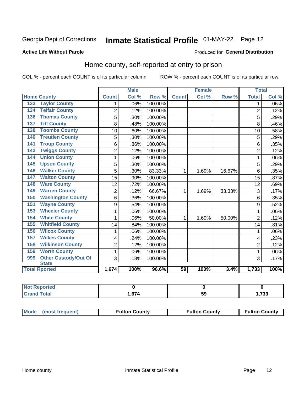## Inmate Statistical Profile 01-MAY-22 Page 12

#### **Active Life Without Parole**

#### Produced for General Distribution

### Home county, self-reported at entry to prison

COL % - percent each COUNT is of its particular column

|                                        |                | <b>Male</b> |         |                 | <b>Female</b> |        | <b>Total</b>   |         |
|----------------------------------------|----------------|-------------|---------|-----------------|---------------|--------|----------------|---------|
| <b>Home County</b>                     | <b>Count</b>   | Col %       | Row %   | <b>Count</b>    | Col %         | Row %  | <b>Total</b>   | Col %   |
| <b>Taylor County</b><br>133            | 1              | .06%        | 100.00% |                 |               |        | 1              | $.06\%$ |
| <b>Telfair County</b><br>134           | $\overline{2}$ | .12%        | 100.00% |                 |               |        | $\overline{2}$ | .12%    |
| <b>Thomas County</b><br>136            | 5              | .30%        | 100.00% |                 |               |        | 5              | .29%    |
| <b>Tift County</b><br>$\overline{137}$ | 8              | .48%        | 100.00% |                 |               |        | 8              | .46%    |
| <b>Toombs County</b><br>138            | 10             | .60%        | 100.00% |                 |               |        | 10             | .58%    |
| <b>Treutlen County</b><br>140          | 5              | .30%        | 100.00% |                 |               |        | 5              | .29%    |
| <b>Troup County</b><br>141             | 6              | .36%        | 100.00% |                 |               |        | 6              | .35%    |
| <b>Twiggs County</b><br>143            | $\overline{2}$ | .12%        | 100.00% |                 |               |        | $\overline{2}$ | .12%    |
| <b>Union County</b><br>144             | 1              | .06%        | 100.00% |                 |               |        | 1              | .06%    |
| <b>Upson County</b><br>145             | 5              | .30%        | 100.00% |                 |               |        | 5              | .29%    |
| <b>Walker County</b><br>146            | 5              | .30%        | 83.33%  | 1               | 1.69%         | 16.67% | 6              | .35%    |
| <b>Walton County</b><br>147            | 15             | .90%        | 100.00% |                 |               |        | 15             | .87%    |
| 148<br><b>Ware County</b>              | 12             | .72%        | 100.00% |                 |               |        | 12             | .69%    |
| <b>Warren County</b><br>149            | $\overline{c}$ | .12%        | 66.67%  | 1               | 1.69%         | 33.33% | 3              | .17%    |
| <b>Washington County</b><br>150        | 6              | .36%        | 100.00% |                 |               |        | 6              | .35%    |
| <b>Wayne County</b><br>151             | 9              | .54%        | 100.00% |                 |               |        | 9              | .52%    |
| <b>Wheeler County</b><br>153           | 1              | .06%        | 100.00% |                 |               |        | 1              | .06%    |
| <b>White County</b><br>154             | 1              | .06%        | 50.00%  | 1               | 1.69%         | 50.00% | $\overline{2}$ | .12%    |
| <b>Whitfield County</b><br>155         | 14             | .84%        | 100.00% |                 |               |        | 14             | .81%    |
| <b>Wilcox County</b><br>156            | 1              | .06%        | 100.00% |                 |               |        | 1              | .06%    |
| <b>Wilkes County</b><br>157            | 4              | .24%        | 100.00% |                 |               |        | 4              | .23%    |
| <b>Wilkinson County</b><br>158         | $\overline{c}$ | .12%        | 100.00% |                 |               |        | $\overline{2}$ | .12%    |
| <b>Worth County</b><br>159             | $\mathbf{1}$   | .06%        | 100.00% |                 |               |        | 1              | .06%    |
| Other Custody/Out Of<br>999            | 3              | .18%        | 100.00% |                 |               |        | 3              | .17%    |
| <b>State</b>                           |                |             |         |                 |               |        |                |         |
| <b>Total Rported</b>                   | 1,674          | 100%        | 96.6%   | $\overline{59}$ | 100%          | 3.4%   | 1,733          | 100%    |

| <b>rted</b> |       |    |      |
|-------------|-------|----|------|
| <b>otal</b> | 674   | -0 | 722  |
|             | יי וט | ວະ | נט ו |

| Mode (most frequent) | <b>Fulton County</b> | <b>Fulton County</b> | <b>Fulton County</b> |
|----------------------|----------------------|----------------------|----------------------|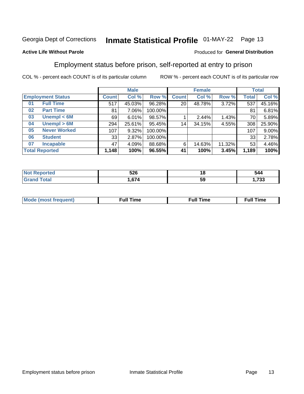## Inmate Statistical Profile 01-MAY-22 Page 13

#### **Active Life Without Parole**

#### Produced for General Distribution

### Employment status before prison, self-reported at entry to prison

COL % - percent each COUNT is of its particular column

|                           |              | <b>Male</b> |         |              | <b>Female</b> |        |       | <b>Total</b> |
|---------------------------|--------------|-------------|---------|--------------|---------------|--------|-------|--------------|
| <b>Employment Status</b>  | <b>Count</b> | Col %       | Row %   | <b>Count</b> | Col %         | Row %  | Total | Col %        |
| <b>Full Time</b><br>01    | 517          | 45.03%      | 96.28%  | 20           | 48.78%        | 3.72%  | 537   | 45.16%       |
| <b>Part Time</b><br>02    | 81           | 7.06%       | 100.00% |              |               |        | 81    | 6.81%        |
| Unempl $<$ 6M<br>03       | 69           | 6.01%       | 98.57%  |              | 2.44%         | 1.43%  | 70    | 5.89%        |
| Unempl > 6M<br>04         | 294          | 25.61%      | 95.45%  | 14           | 34.15%        | 4.55%  | 308   | 25.90%       |
| <b>Never Worked</b><br>05 | 107          | 9.32%       | 100.00% |              |               |        | 107   | 9.00%        |
| <b>Student</b><br>06      | 33           | 2.87%       | 100.00% |              |               |        | 33    | 2.78%        |
| <b>Incapable</b><br>07    | 47           | 4.09%       | 88.68%  | 6            | 14.63%        | 11.32% | 53    | 4.46%        |
| <b>Total Reported</b>     | 1,148        | 100%        | 96.55%  | 41           | 100%          | 3.45%  | 1,189 | 100%         |

| EOC.<br>ວ∠ບ                       | 10 | 544               |
|-----------------------------------|----|-------------------|
| $\sim$ $\sim$ $\sim$<br>r.<br>. . | 59 | $\mathbf{a}$<br>ີ |

| Mc | ∙u∥<br>----<br>ıme | ίuΙ<br>Πmε |
|----|--------------------|------------|
|    |                    |            |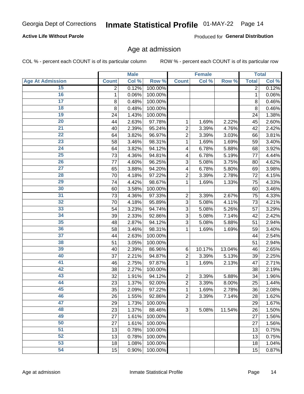#### **Active Life Without Parole**

Produced for General Distribution

### Age at admission

COL % - percent each COUNT is of its particular column

|                         |              | <b>Male</b> |         |                | <b>Female</b> |        |              | <b>Total</b> |
|-------------------------|--------------|-------------|---------|----------------|---------------|--------|--------------|--------------|
| <b>Age At Admission</b> | <b>Count</b> | Col %       | Row %   | <b>Count</b>   | Col %         | Row %  | <b>Total</b> | Col %        |
| 15                      | 2            | 0.12%       | 100.00% |                |               |        | 2            | 0.12%        |
| 16                      | 1            | 0.06%       | 100.00% |                |               |        | 1            | 0.06%        |
| $\overline{17}$         | 8            | 0.48%       | 100.00% |                |               |        | 8            | 0.46%        |
| 18                      | 8            | 0.48%       | 100.00% |                |               |        | 8            | 0.46%        |
| 19                      | 24           | 1.43%       | 100.00% |                |               |        | 24           | 1.38%        |
| $\overline{20}$         | 44           | 2.63%       | 97.78%  | 1              | 1.69%         | 2.22%  | 45           | 2.60%        |
| $\overline{21}$         | 40           | 2.39%       | 95.24%  | $\overline{2}$ | 3.39%         | 4.76%  | 42           | 2.42%        |
| 22                      | 64           | 3.82%       | 96.97%  | $\overline{2}$ | 3.39%         | 3.03%  | 66           | 3.81%        |
| 23                      | 58           | 3.46%       | 98.31%  | 1              | 1.69%         | 1.69%  | 59           | 3.40%        |
| 24                      | 64           | 3.82%       | 94.12%  | 4              | 6.78%         | 5.88%  | 68           | 3.92%        |
| $\overline{25}$         | 73           | 4.36%       | 94.81%  | 4              | 6.78%         | 5.19%  | 77           | 4.44%        |
| 26                      | 77           | 4.60%       | 96.25%  | 3              | 5.08%         | 3.75%  | 80           | 4.62%        |
| $\overline{27}$         | 65           | 3.88%       | 94.20%  | 4              | 6.78%         | 5.80%  | 69           | 3.98%        |
| 28                      | 70           | 4.18%       | 97.22%  | $\overline{2}$ | 3.39%         | 2.78%  | 72           | 4.15%        |
| 29                      | 74           | 4.42%       | 98.67%  | 1              | 1.69%         | 1.33%  | 75           | 4.33%        |
| 30                      | 60           | 3.58%       | 100.00% |                |               |        | 60           | 3.46%        |
| 31                      | 73           | 4.36%       | 97.33%  | $\overline{2}$ | 3.39%         | 2.67%  | 75           | 4.33%        |
| 32                      | 70           | 4.18%       | 95.89%  | 3              | 5.08%         | 4.11%  | 73           | 4.21%        |
| 33                      | 54           | 3.23%       | 94.74%  | 3              | 5.08%         | 5.26%  | 57           | 3.29%        |
| 34                      | 39           | 2.33%       | 92.86%  | 3              | 5.08%         | 7.14%  | 42           | 2.42%        |
| 35                      | 48           | 2.87%       | 94.12%  | 3              | 5.08%         | 5.88%  | 51           | 2.94%        |
| 36                      | 58           | 3.46%       | 98.31%  | 1              | 1.69%         | 1.69%  | 59           | 3.40%        |
| $\overline{37}$         | 44           | 2.63%       | 100.00% |                |               |        | 44           | 2.54%        |
| 38                      | 51           | 3.05%       | 100.00% |                |               |        | 51           | 2.94%        |
| 39                      | 40           | 2.39%       | 86.96%  | 6              | 10.17%        | 13.04% | 46           | 2.65%        |
| 40                      | 37           | 2.21%       | 94.87%  | $\overline{2}$ | 3.39%         | 5.13%  | 39           | 2.25%        |
| 41                      | 46           | 2.75%       | 97.87%  | 1              | 1.69%         | 2.13%  | 47           | 2.71%        |
| 42                      | 38           | 2.27%       | 100.00% |                |               |        | 38           | 2.19%        |
| 43                      | 32           | 1.91%       | 94.12%  | $\overline{2}$ | 3.39%         | 5.88%  | 34           | 1.96%        |
| 44                      | 23           | 1.37%       | 92.00%  | $\overline{2}$ | 3.39%         | 8.00%  | 25           | 1.44%        |
| 45                      | 35           | 2.09%       | 97.22%  | 1              | 1.69%         | 2.78%  | 36           | 2.08%        |
| 46                      | 26           | 1.55%       | 92.86%  | $\overline{2}$ | 3.39%         | 7.14%  | 28           | 1.62%        |
| 47                      | 29           | 1.73%       | 100.00% |                |               |        | 29           | 1.67%        |
| 48                      | 23           | 1.37%       | 88.46%  | 3              | 5.08%         | 11.54% | 26           | 1.50%        |
| 49                      | 27           | 1.61%       | 100.00% |                |               |        | 27           | 1.56%        |
| 50                      | 27           | 1.61%       | 100.00% |                |               |        | 27           | 1.56%        |
| $\overline{51}$         | 13           | 0.78%       | 100.00% |                |               |        | 13           | 0.75%        |
| 52                      | 13           | 0.78%       | 100.00% |                |               |        | 13           | 0.75%        |
| 53                      | 18           | 1.08%       | 100.00% |                |               |        | 18           | 1.04%        |
| 54                      | 15           | 0.90%       | 100.00% |                |               |        | 15           | 0.87%        |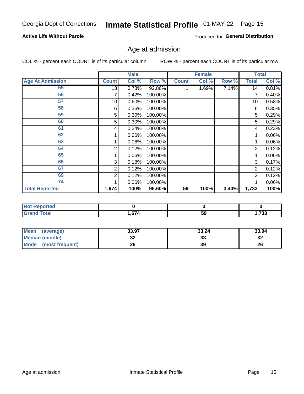#### **Active Life Without Parole**

Produced for General Distribution

## Age at admission

COL % - percent each COUNT is of its particular column

|                         |              | <b>Male</b> |         |              | <b>Female</b> |       |       | <b>Total</b> |
|-------------------------|--------------|-------------|---------|--------------|---------------|-------|-------|--------------|
| <b>Age At Admission</b> | <b>Count</b> | Col %       | Row %   | <b>Count</b> | Col %         | Row % | Total | Col %        |
| 55                      | 13           | 0.78%       | 92.86%  |              | 1.69%         | 7.14% | 14    | 0.81%        |
| 56                      | 7            | 0.42%       | 100.00% |              |               |       | 7     | 0.40%        |
| 57                      | 10           | 0.60%       | 100.00% |              |               |       | 10    | 0.58%        |
| 58                      | 6            | 0.36%       | 100.00% |              |               |       | 6     | 0.35%        |
| 59                      | 5            | 0.30%       | 100.00% |              |               |       | 5     | 0.29%        |
| 60                      | 5            | 0.30%       | 100.00% |              |               |       | 5     | 0.29%        |
| 61                      | 4            | 0.24%       | 100.00% |              |               |       | 4     | 0.23%        |
| 62                      |              | 0.06%       | 100.00% |              |               |       |       | 0.06%        |
| 63                      |              | 0.06%       | 100.00% |              |               |       |       | 0.06%        |
| 64                      | 2            | 0.12%       | 100.00% |              |               |       | 2     | 0.12%        |
| 65                      |              | 0.06%       | 100.00% |              |               |       |       | 0.06%        |
| 66                      | 3            | 0.18%       | 100.00% |              |               |       | 3     | 0.17%        |
| 67                      | 2            | 0.12%       | 100.00% |              |               |       | 2     | 0.12%        |
| 69                      | 2            | 0.12%       | 100.00% |              |               |       | 2     | 0.12%        |
| 74                      |              | 0.06%       | 100.00% |              |               |       |       | 0.06%        |
| <b>Total Reported</b>   | 1,674        | 100%        | 96.60%  | 59           | 100%          | 3.40% | 1,733 | 100%         |

| <b>Not Reported</b> |      |    |          |
|---------------------|------|----|----------|
| <b>cotal</b>        | ,674 | 59 | フクク<br>. |

| <b>Mean</b><br>(average) | 33.97   | 33.24    | 33.94   |
|--------------------------|---------|----------|---------|
| <b>Median (middle)</b>   | ົ<br>JZ | າາ<br>აა | ົ<br>∠ت |
| Mode<br>(most frequent)  | 26      | 39       | 26      |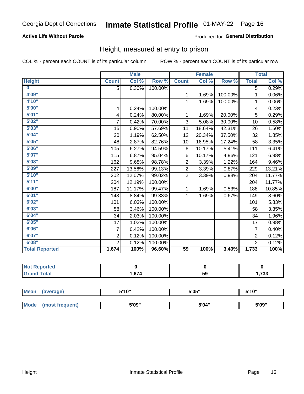#### **Active Life Without Parole**

#### Produced for General Distribution

### Height, measured at entry to prison

COL % - percent each COUNT is of its particular column

|                       |                         | <b>Male</b> |         |                 | <b>Female</b>              |         |                | <b>Total</b>               |
|-----------------------|-------------------------|-------------|---------|-----------------|----------------------------|---------|----------------|----------------------------|
| <b>Height</b>         | <b>Count</b>            | Col %       | Row %   | <b>Count</b>    | $\overline{\text{Col }^9}$ | Row %   | <b>Total</b>   | $\overline{\text{Col }\%}$ |
| $\bf{0}$              | 5                       | 0.30%       | 100.00% |                 |                            |         | 5              | 0.29%                      |
| 4'09"                 |                         |             |         | 1               | 1.69%                      | 100.00% | 1              | 0.06%                      |
| 4'10''                |                         |             |         | $\mathbf{1}$    | 1.69%                      | 100.00% | 1              | 0.06%                      |
| 5'00''                | $\overline{\mathbf{4}}$ | 0.24%       | 100.00% |                 |                            |         | 4              | 0.23%                      |
| 5'01"                 | 4                       | 0.24%       | 80.00%  | 1.              | 1.69%                      | 20.00%  | 5              | 0.29%                      |
| 5'02"                 | 7                       | 0.42%       | 70.00%  | 3               | 5.08%                      | 30.00%  | 10             | 0.58%                      |
| 5'03''                | 15                      | 0.90%       | 57.69%  | 11              | 18.64%                     | 42.31%  | 26             | 1.50%                      |
| 5'04"                 | 20                      | 1.19%       | 62.50%  | 12              | 20.34%                     | 37.50%  | 32             | 1.85%                      |
| 5'05"                 | 48                      | 2.87%       | 82.76%  | 10              | 16.95%                     | 17.24%  | 58             | 3.35%                      |
| 5'06''                | 105                     | 6.27%       | 94.59%  | 6               | 10.17%                     | 5.41%   | 111            | 6.41%                      |
| 5'07''                | 115                     | 6.87%       | 95.04%  | 6               | 10.17%                     | 4.96%   | 121            | 6.98%                      |
| 5'08''                | 162                     | 9.68%       | 98.78%  | $\overline{2}$  | 3.39%                      | 1.22%   | 164            | 9.46%                      |
| 5'09''                | 227                     | 13.56%      | 99.13%  | $\overline{2}$  | 3.39%                      | 0.87%   | 229            | 13.21%                     |
| 5'10''                | 202                     | 12.07%      | 99.02%  | $\overline{2}$  | 3.39%                      | 0.98%   | 204            | 11.77%                     |
| 5'11"                 | 204                     | 12.19%      | 100.00% |                 |                            |         | 204            | 11.77%                     |
| 6'00''                | 187                     | 11.17%      | 99.47%  | $\mathbf{1}$    | 1.69%                      | 0.53%   | 188            | 10.85%                     |
| 6'01''                | 148                     | 8.84%       | 99.33%  | 1               | 1.69%                      | 0.67%   | 149            | 8.60%                      |
| 6'02"                 | 101                     | 6.03%       | 100.00% |                 |                            |         | 101            | 5.83%                      |
| 6'03''                | 58                      | 3.46%       | 100.00% |                 |                            |         | 58             | 3.35%                      |
| 6'04"                 | 34                      | 2.03%       | 100.00% |                 |                            |         | 34             | 1.96%                      |
| 6'05"                 | 17                      | 1.02%       | 100.00% |                 |                            |         | 17             | 0.98%                      |
| 6'06"                 | $\overline{7}$          | 0.42%       | 100.00% |                 |                            |         | $\overline{7}$ | 0.40%                      |
| 6'07''                | $\overline{2}$          | 0.12%       | 100.00% |                 |                            |         | $\overline{2}$ | 0.12%                      |
| 6'08''                | $\overline{2}$          | 0.12%       | 100.00% |                 |                            |         | $\overline{2}$ | 0.12%                      |
| <b>Total Reported</b> | 1,674                   | 100%        | 96.60%  | $\overline{59}$ | 100%                       | 3.40%   | 1,733          | 100%                       |

| NOT<br>rted<br>$\sim$ |     |    |             |
|-----------------------|-----|----|-------------|
| $int^{\bullet}$       | 67/ | 59 | っへへ<br>دد ا |

| <b>Mean</b> | (average)       | 5'10" | 5'05" | 5'10"<br>J |  |
|-------------|-----------------|-------|-------|------------|--|
|             |                 |       |       |            |  |
| Mode        | (most frequent) | 5'09" | 5'04" | 5'09"      |  |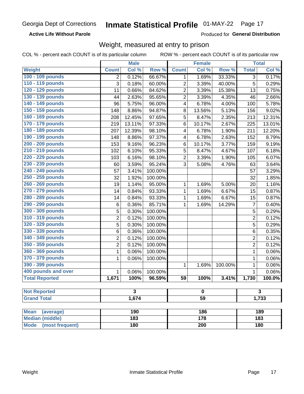#### **Active Life Without Parole**

Produced for General Distribution

### Weight, measured at entry to prison

COL % - percent each COUNT is of its particular column

| Row <sup>%</sup><br>Col %<br>Weight<br><b>Count</b><br>Col %<br><b>Count</b><br>Row %<br><b>Total</b> | Col %  |
|-------------------------------------------------------------------------------------------------------|--------|
|                                                                                                       |        |
| 100 - 109 pounds<br>0.12%<br>66.67%<br>1.69%<br>33.33%<br>3<br>2<br>1                                 | 0.17%  |
| 110 - 119 pounds<br>3<br>$\overline{c}$<br>5<br>0.18%<br>60.00%<br>3.39%<br>40.00%                    | 0.29%  |
| 120 - 129 pounds<br>$\overline{c}$<br>11<br>0.66%<br>84.62%<br>3.39%<br>15.38%<br>13                  | 0.75%  |
| 130 - 139 pounds<br>$\overline{2}$<br>2.63%<br>95.65%<br>3.39%<br>4.35%<br>44<br>46                   | 2.66%  |
| 140 - 149 pounds<br>5.75%<br>96.00%<br>6.78%<br>4.00%<br>96<br>4<br>100                               | 5.78%  |
| 150 - 159 pounds<br>5.13%<br>148<br>8.86%<br>94.87%<br>8<br>13.56%<br>156                             | 9.02%  |
| 160 - 169 pounds<br>5<br>12.45%<br>97.65%<br>8.47%<br>2.35%<br>213<br>208                             | 12.31% |
| 170 - 179 pounds<br>13.11%<br>97.33%<br>6<br>10.17%<br>2.67%<br>219<br>225                            | 13.01% |
| 180 - 189 pounds<br>12.39%<br>98.10%<br>6.78%<br>1.90%<br>207<br>4<br>211                             | 12.20% |
| 190 - 199 pounds<br>2.63%<br>8.86%<br>97.37%<br>6.78%<br>148<br>$\overline{\mathbf{4}}$<br>152        | 8.79%  |
| 200 - 209 pounds<br>96.23%<br>9.16%<br>6<br>153<br>10.17%<br>3.77%<br>159                             | 9.19%  |
| 210 - 219 pounds<br>5<br>6.10%<br>95.33%<br>8.47%<br>4.67%<br>102<br>107                              | 6.18%  |
| 220 - 229 pounds<br>6.16%<br>98.10%<br>$\overline{2}$<br>3.39%<br>1.90%<br>103<br>105                 | 6.07%  |
| 230 - 239 pounds<br>3.59%<br>95.24%<br>3<br>5.08%<br>4.76%<br>63<br>60                                | 3.64%  |
| 240 - 249 pounds<br>57<br>3.41%<br>100.00%<br>57                                                      | 3.29%  |
| 250 - 259 pounds<br>32<br>1.92%<br>100.00%<br>32                                                      | 1.85%  |
| 260 - 269 pounds<br>1.14%<br>95.00%<br>1.69%<br>19<br>1<br>5.00%<br>20                                | 1.16%  |
| 270 - 279 pounds<br>0.84%<br>93.33%<br>$\mathbf{1}$<br>1.69%<br>6.67%<br>14<br>15                     | 0.87%  |
| 280 - 289 pounds<br>0.84%<br>93.33%<br>6.67%<br>14<br>1<br>1.69%<br>15                                | 0.87%  |
| 290 - 299 pounds<br>$\overline{7}$<br>0.36%<br>85.71%<br>6<br>1<br>1.69%<br>14.29%                    | 0.40%  |
| 300 - 309 pounds<br>5<br>0.30%<br>100.00%<br>5                                                        | 0.29%  |
| 310 - 319 pounds<br>$\overline{2}$<br>$\overline{2}$<br>0.12%<br>100.00%                              | 0.12%  |
| 320 - 329 pounds<br>5<br>0.30%<br>100.00%<br>5                                                        | 0.29%  |
| 330 - 339 pounds<br>6<br>0.36%<br>100.00%<br>6                                                        | 0.35%  |
| 340 - 349 pounds<br>$\overline{c}$<br>100.00%<br>$\overline{2}$<br>0.12%                              | 0.12%  |
| 350 - 359 pounds<br>$\overline{2}$<br>$\overline{2}$<br>0.12%<br>100.00%                              | 0.12%  |
| 360 - 369 pounds<br>1<br>0.06%<br>100.00%<br>1                                                        | 0.06%  |
| 370 - 379 pounds<br>1<br>1<br>0.06%<br>100.00%                                                        | 0.06%  |
| 390 - 399 pounds<br>$\mathbf{1}$<br>100.00%<br>1<br>1.69%                                             | 0.06%  |
| 400 pounds and over<br>$\mathbf{1}$<br>0.06%<br>100.00%<br>$\mathbf{1}$                               | 0.06%  |
| <b>Total Reported</b><br>1,671<br>100%<br>96.59%<br>59<br>100%<br>3.41%<br>1,730                      | 100.0% |
|                                                                                                       |        |
| $\overline{\mathbf{3}}$<br>$\overline{\mathbf{3}}$<br><b>Not Reported</b><br>$\bf{0}$                 |        |
| 1,674<br><b>Grand Total</b><br>$\overline{59}$<br>1,733                                               |        |
| 190<br><b>Mean</b><br>186<br>189<br>(average)                                                         |        |
| <b>Median (middle)</b><br>$\overline{183}$<br>178<br>183                                              |        |
| 180<br><b>Mode</b><br>(most frequent)<br>$\overline{200}$<br>180                                      |        |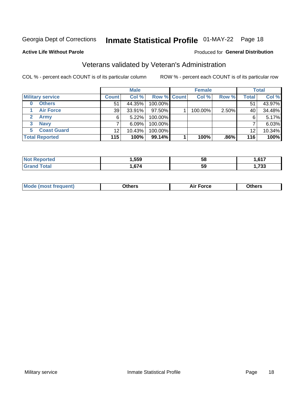## Inmate Statistical Profile 01-MAY-22 Page 18

#### **Active Life Without Parole**

#### Produced for General Distribution

## Veterans validated by Veteran's Administration

COL % - percent each COUNT is of its particular column

|                          |              | <b>Male</b> |                    | <b>Female</b> |       |              | <b>Total</b> |
|--------------------------|--------------|-------------|--------------------|---------------|-------|--------------|--------------|
| <b>Military service</b>  | <b>Count</b> | Col %       | <b>Row % Count</b> | Col %         | Row % | <b>Total</b> | Col %        |
| <b>Others</b><br>0       | 51           | 44.35%      | 100.00%            |               |       | 51           | 43.97%       |
| <b>Air Force</b>         | 39           | 33.91%      | 97.50%             | 100.00%       | 2.50% | 40           | 34.48%       |
| <b>Army</b>              | 6            | $5.22\%$    | 100.00%            |               |       | 6            | 5.17%        |
| <b>Navy</b><br>3         |              | 6.09%       | 100.00%            |               |       |              | 6.03%        |
| <b>Coast Guard</b><br>5. | 12           | 10.43%      | 100.00%            |               |       | 12           | 10.34%       |
| <b>Total Reported</b>    | 115          | 100%        | $99.14\%$          | 100%          | .86%  | 116          | 100%         |

| neo     | .559             | 58 | 647<br>. .<br>, , , |
|---------|------------------|----|---------------------|
| $f = f$ | <b>C7.</b><br>,, | 59 | っへへ<br>دد ،,        |

| <b>Moo.</b> |
|-------------|
|-------------|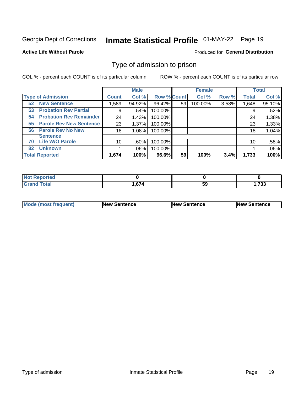## Inmate Statistical Profile 01-MAY-22 Page 19

#### **Active Life Without Parole**

#### Produced for General Distribution

### Type of admission to prison

COL % - percent each COUNT is of its particular column

|                                      |                 | <b>Male</b> |                    |    | <b>Female</b> |       |              | <b>Total</b> |
|--------------------------------------|-----------------|-------------|--------------------|----|---------------|-------|--------------|--------------|
| <b>Type of Admission</b>             | <b>Count</b>    | Col %       | <b>Row % Count</b> |    | Col %         | Row % | <b>Total</b> | Col %        |
| <b>New Sentence</b><br>52            | 589. ا          | 94.92%      | 96.42%             | 59 | 100.00%       | 3.58% | 1,648        | 95.10%       |
| <b>Probation Rev Partial</b><br>53   | 9               | .54%        | 100.00%            |    |               |       | 9            | .52%         |
| <b>Probation Rev Remainder</b><br>54 | 24              | 1.43%       | 100.00%            |    |               |       | 24           | 1.38%        |
| <b>Parole Rev New Sentence</b><br>55 | 23              | 1.37%       | 100.00%            |    |               |       | 23           | 1.33%        |
| <b>Parole Rev No New</b><br>56       | 18              | 1.08%       | 100.00%            |    |               |       | 18           | 1.04%        |
| <b>Sentence</b>                      |                 |             |                    |    |               |       |              |              |
| <b>Life W/O Parole</b><br>70         | 10 <sup>1</sup> | .60%        | 100.00%            |    |               |       | 10           | .58%         |
| <b>Unknown</b><br>82                 |                 | .06%        | 100.00%            |    |               |       |              | .06%         |
| <b>Total Reported</b>                | 1,674           | 100%        | 96.6%              | 59 | 100%          | 3.4%  | 1,733        | 100%         |

| <b>Not Reported</b>     |       |    |                 |
|-------------------------|-------|----|-----------------|
| <b>Total</b><br>' Grand | 1,674 | 59 | フつつ<br>., ، ، ، |

| Mode (most frequent) | <b>New Sentence</b> | <b>New Sentence</b> | <b>New Sentence</b> |
|----------------------|---------------------|---------------------|---------------------|
|                      |                     |                     |                     |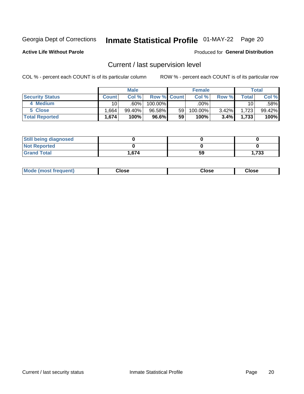## Inmate Statistical Profile 01-MAY-22 Page 20

**Active Life Without Parole** 

#### Produced for General Distribution

## Current / last supervision level

COL % - percent each COUNT is of its particular column

|                        |              | <b>Male</b> |                    |    | <b>Female</b> |       |                 | <b>Total</b> |
|------------------------|--------------|-------------|--------------------|----|---------------|-------|-----------------|--------------|
| <b>Security Status</b> | <b>Count</b> | Col%        | <b>Row % Count</b> |    | Col %         | Row % | Total           | Col %        |
| 4 Medium               | 10 I         | .60%        | 100.00%            |    | .00%          |       | 10 <sup>1</sup> | .58%         |
| 5 Close                | .664         | 99.40%      | 96.58%             | 59 | 100.00%       | 3.42% | 1,723           | 99.42%       |
| <b>Total Reported</b>  | 1,674        | 100%        | 96.6%              | 59 | 100%          | 3.4%  | 1,733           | 100%         |

| <b>Still being diagnosed</b> |       |    |       |
|------------------------------|-------|----|-------|
| <b>Not Reported</b>          |       |    |       |
| <b>Grand Total</b>           | 1.674 | 59 | 1,733 |

| <b>AhoM</b><br>rreauent) | Close | Close | Close |
|--------------------------|-------|-------|-------|
|                          |       |       |       |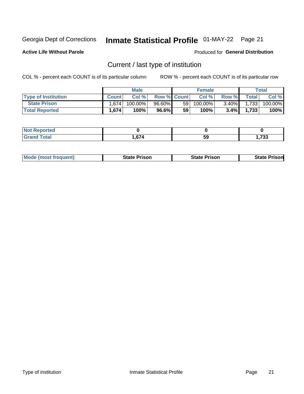## Inmate Statistical Profile 01-MAY-22 Page 21

**Active Life Without Parole** 

Produced for General Distribution

## Current / last type of institution

COL % - percent each COUNT is of its particular column

|                            |              | <b>Male</b> |                    |                 | <b>Female</b> |          |              | <b>Total</b> |
|----------------------------|--------------|-------------|--------------------|-----------------|---------------|----------|--------------|--------------|
| <b>Type of Institution</b> | <b>Count</b> | Col%        | <b>Row % Count</b> |                 | Col %         | Row %    | <b>Total</b> | Col %        |
| <b>State Prison</b>        | 1.674        | $100.00\%$  | $96.60\%$          | 59 <sub>1</sub> | $100.00\%$    | $3.40\%$ | 1,733        | 100.00%      |
| <b>Total Reported</b>      | 1,674        | 100%        | 96.6%              | 59              | $100\%$ .     | 3.4%     | 1.733        | 100%         |

| τeα             |                              |    |             |
|-----------------|------------------------------|----|-------------|
| $\sim$ . $\sim$ | $\sim$ $\sim$ $\sim$<br>רוטי | 59 | フへへ<br>ככ ו |

| <b>Mode (most frequent)</b> | State Prison | <b>State Prison</b> | State<br>⊦Prisonl |
|-----------------------------|--------------|---------------------|-------------------|
|                             |              |                     |                   |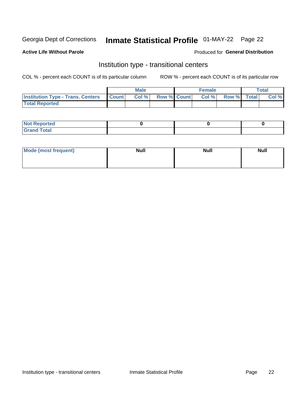## Inmate Statistical Profile 01-MAY-22 Page 22

#### **Active Life Without Parole**

#### Produced for General Distribution

### Institution type - transitional centers

COL % - percent each COUNT is of its particular column

|                                                | <b>Male</b> |                    | <b>Female</b> |             | <b>Total</b> |
|------------------------------------------------|-------------|--------------------|---------------|-------------|--------------|
| <b>Institution Type - Trans. Centers Count</b> | CoI%        | <b>Row % Count</b> | Col % l       | Row % Total | Col %        |
| <b>Total Reported</b>                          |             |                    |               |             |              |

| <b>Reported</b><br><b>NOT</b><br>$\sim$            |  |  |
|----------------------------------------------------|--|--|
| $f$ $f \circ f \circ f$<br>$C = 1$<br><b>TULAI</b> |  |  |

| Mode (most frequent) | <b>Null</b> | <b>Null</b> | <b>Null</b> |
|----------------------|-------------|-------------|-------------|
|                      |             |             |             |
|                      |             |             |             |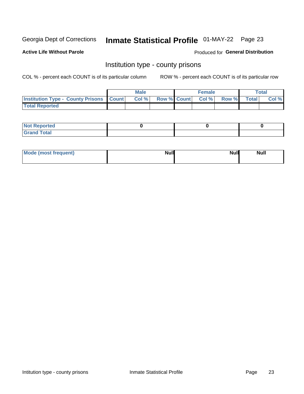## Inmate Statistical Profile 01-MAY-22 Page 23

**Active Life Without Parole** 

Produced for General Distribution

### Institution type - county prisons

COL % - percent each COUNT is of its particular column

|                                                    | <b>Male</b> |       |  | <b>Female</b> |                          |             | <b>Total</b> |       |
|----------------------------------------------------|-------------|-------|--|---------------|--------------------------|-------------|--------------|-------|
| <b>Institution Type - County Prisons   Count  </b> |             | Col % |  |               | <b>Row % Count Col %</b> | Row % Total |              | Col % |
| <b>Total Reported</b>                              |             |       |  |               |                          |             |              |       |

| <b>Not</b><br>: Reported<br> |  |  |
|------------------------------|--|--|
| <b>Total</b><br>---          |  |  |

| Mode (most frequent) | <b>Null</b> | <b>Null</b><br><b>Null</b> |
|----------------------|-------------|----------------------------|
|                      |             |                            |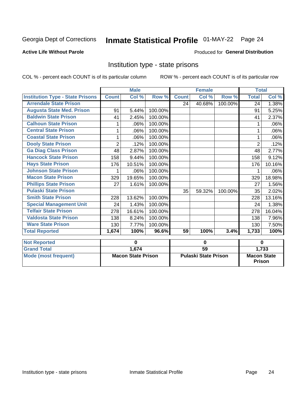## Inmate Statistical Profile 01-MAY-22 Page 24

#### **Active Life Without Parole**

#### **Produced for General Distribution**

### Institution type - state prisons

COL % - percent each COUNT is of its particular column

|                                         | <b>Male</b>               |        |                             |                 | <b>Female</b> |                                     | <b>Total</b>   |          |
|-----------------------------------------|---------------------------|--------|-----------------------------|-----------------|---------------|-------------------------------------|----------------|----------|
| <b>Institution Type - State Prisons</b> | <b>Count</b>              | Col %  | Row %                       | <b>Count</b>    | Col %         | Row %                               | <b>Total</b>   | Col %    |
| <b>Arrendale State Prison</b>           |                           |        |                             | 24              | 40.68%        | 100.00%                             | 24             | $1.38\%$ |
| <b>Augusta State Med. Prison</b>        | 91                        | 5.44%  | 100.00%                     |                 |               |                                     | 91             | 5.25%    |
| <b>Baldwin State Prison</b>             | 41                        | 2.45%  | 100.00%                     |                 |               |                                     | 41             | 2.37%    |
| <b>Calhoun State Prison</b>             |                           | .06%   | 100.00%                     |                 |               |                                     |                | .06%     |
| <b>Central State Prison</b>             |                           | .06%   | 100.00%                     |                 |               |                                     |                | .06%     |
| <b>Coastal State Prison</b>             | 1                         | .06%   | 100.00%                     |                 |               |                                     | 1              | .06%     |
| <b>Dooly State Prison</b>               | $\overline{2}$            | .12%   | 100.00%                     |                 |               |                                     | $\overline{2}$ | .12%     |
| <b>Ga Diag Class Prison</b>             | 48                        | 2.87%  | 100.00%                     |                 |               |                                     | 48             | 2.77%    |
| <b>Hancock State Prison</b>             | 158                       | 9.44%  | 100.00%                     |                 |               |                                     | 158            | 9.12%    |
| <b>Hays State Prison</b>                | 176                       | 10.51% | 100.00%                     |                 |               |                                     | 176            | 10.16%   |
| <b>Johnson State Prison</b>             |                           | .06%   | 100.00%                     |                 |               |                                     |                | .06%     |
| <b>Macon State Prison</b>               | 329                       | 19.65% | 100.00%                     |                 |               |                                     | 329            | 18.98%   |
| <b>Phillips State Prison</b>            | 27                        | 1.61%  | 100.00%                     |                 |               |                                     | 27             | 1.56%    |
| <b>Pulaski State Prison</b>             |                           |        |                             | 35              | 59.32%        | 100.00%                             | 35             | 2.02%    |
| <b>Smith State Prison</b>               | 228                       | 13.62% | 100.00%                     |                 |               |                                     | 228            | 13.16%   |
| <b>Special Management Unit</b>          | 24                        | 1.43%  | 100.00%                     |                 |               |                                     | 24             | 1.38%    |
| <b>Telfair State Prison</b>             | 278                       | 16.61% | 100.00%                     |                 |               |                                     | 278            | 16.04%   |
| <b>Valdosta State Prison</b>            | 138                       | 8.24%  | 100.00%                     |                 |               |                                     | 138            | 7.96%    |
| <b>Ware State Prison</b>                | 130                       | 7.77%  | 100.00%                     |                 |               |                                     | 130            | 7.50%    |
| <b>Total Reported</b>                   | 1,674                     | 100%   | 96.6%                       | 59              | 100%          | 3.4%                                | 1,733          | 100%     |
| <b>Not Reported</b>                     | 0                         |        | $\bf{0}$                    |                 |               | $\bf{0}$                            |                |          |
| <b>Grand Total</b>                      |                           | 1,674  |                             | $\overline{59}$ |               |                                     | 1,733          |          |
| <b>Mode (most frequent)</b>             | <b>Macon State Prison</b> |        | <b>Pulaski State Prison</b> |                 |               | <b>Macon State</b><br><b>Prison</b> |                |          |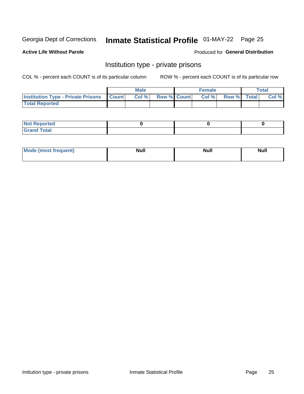## Inmate Statistical Profile 01-MAY-22 Page 25

**Active Life Without Parole** 

Produced for General Distribution

### Institution type - private prisons

COL % - percent each COUNT is of its particular column

|                                                 | <b>Male</b> |       |                    | <b>Female</b> |       |             | Total |       |
|-------------------------------------------------|-------------|-------|--------------------|---------------|-------|-------------|-------|-------|
| <b>Institution Type - Private Prisons Count</b> |             | Col % | <b>Row % Count</b> |               | Col % | Row % Total |       | Col % |
| <b>Total Reported</b>                           |             |       |                    |               |       |             |       |       |

| Not Reported           |  |  |
|------------------------|--|--|
| <b>Cotal</b><br>______ |  |  |

| <b>Mo</b><br>frequent) | <b>Null</b> | <b>Null</b> | . . I *<br><b>IVUII</b> |
|------------------------|-------------|-------------|-------------------------|
|                        |             |             |                         |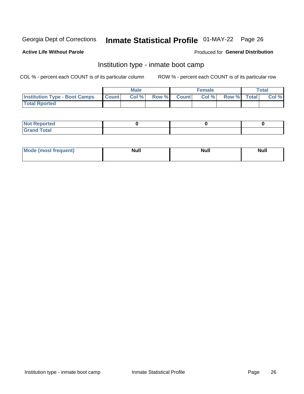## Inmate Statistical Profile 01-MAY-22 Page 26

#### **Active Life Without Parole**

#### Produced for General Distribution

### Institution type - inmate boot camp

COL % - percent each COUNT is of its particular column

|                                            | <b>Male</b> |      |                    | <b>Female</b> | <b>Total</b> |  |       |
|--------------------------------------------|-------------|------|--------------------|---------------|--------------|--|-------|
| <b>Institution Type - Boot Camps Count</b> |             | Col% | <b>Row % Count</b> | Col%          | Row % Total  |  | Col % |
| <b>Total Rported</b>                       |             |      |                    |               |              |  |       |

| <b>Not Reported</b>            |  |  |
|--------------------------------|--|--|
| <b>Total</b><br>C <sub>r</sub> |  |  |

| Mod<br>uamo | Nul.<br>$- - - - - -$ | <b>Null</b> | <br>uu.<br>------ |
|-------------|-----------------------|-------------|-------------------|
|             |                       |             |                   |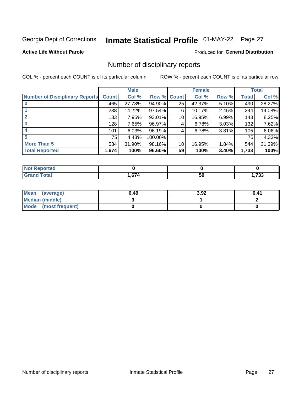## Inmate Statistical Profile 01-MAY-22 Page 27

#### **Active Life Without Parole**

#### **Produced for General Distribution**

### Number of disciplinary reports

COL % - percent each COUNT is of its particular column

|                                       | <b>Male</b>  |        |         | <b>Female</b> |        |       | <b>Total</b> |        |
|---------------------------------------|--------------|--------|---------|---------------|--------|-------|--------------|--------|
| <b>Number of Disciplinary Reports</b> | <b>Count</b> | Col %  | Row %   | <b>Count</b>  | Col %  | Row % | <b>Total</b> | Col %  |
|                                       | 465          | 27.78% | 94.90%  | 25            | 42.37% | 5.10% | 490          | 28.27% |
|                                       | 238          | 14.22% | 97.54%  | 6             | 10.17% | 2.46% | 244          | 14.08% |
| $\mathbf{2}$                          | 133          | 7.95%  | 93.01%  | 10            | 16.95% | 6.99% | 143          | 8.25%  |
| 3                                     | 128          | 7.65%  | 96.97%  | 4             | 6.78%  | 3.03% | 132          | 7.62%  |
|                                       | 101          | 6.03%  | 96.19%  | 4             | 6.78%  | 3.81% | 105          | 6.06%  |
| 5                                     | 75           | 4.48%  | 100.00% |               |        |       | 75           | 4.33%  |
| <b>More Than 5</b>                    | 534          | 31.90% | 98.16%  | 10            | 16.95% | 1.84% | 544          | 31.39% |
| <b>Total Reported</b>                 | 1,674        | 100%   | 96.60%  | 59            | 100%   | 3.40% | 1,733        | 100%   |

| <b>NO</b><br>тео |      |    |             |
|------------------|------|----|-------------|
| Гоtal            | .674 | ວະ | 722<br>,,JJ |

| Mean (average)       | 6.49 | 3.92 | 6.41 |
|----------------------|------|------|------|
| Median (middle)      |      |      |      |
| Mode (most frequent) |      |      |      |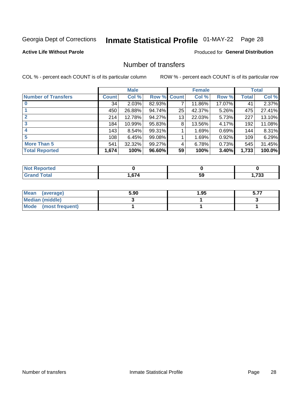## Inmate Statistical Profile 01-MAY-22 Page 28

#### **Active Life Without Parole**

#### **Produced for General Distribution**

### Number of transfers

COL % - percent each COUNT is of its particular column

|                            | <b>Male</b> |        | <b>Female</b> |              |        | <b>Total</b> |              |        |
|----------------------------|-------------|--------|---------------|--------------|--------|--------------|--------------|--------|
| <b>Number of Transfers</b> | Count l     | Col %  | Row %         | <b>Count</b> | Col %  | Row %        | <b>Total</b> | Col %  |
|                            | 34          | 2.03%  | 82.93%        | 7            | 11.86% | 17.07%       | 41           | 2.37%  |
|                            | 450         | 26.88% | 94.74%        | 25           | 42.37% | 5.26%        | 475          | 27.41% |
| $\mathbf{2}$               | 214         | 12.78% | 94.27%        | 13           | 22.03% | 5.73%        | 227          | 13.10% |
| 3                          | 184         | 10.99% | 95.83%        | 8            | 13.56% | 4.17%        | 192          | 11.08% |
|                            | 143         | 8.54%  | 99.31%        |              | 1.69%  | 0.69%        | 144          | 8.31%  |
| 5                          | 108         | 6.45%  | 99.08%        |              | 1.69%  | 0.92%        | 109          | 6.29%  |
| <b>More Than 5</b>         | 541         | 32.32% | 99.27%        | 4            | 6.78%  | 0.73%        | 545          | 31.45% |
| <b>Total Reported</b>      | 1,674       | 100%   | 96.60%        | 59           | 100%   | 3.40%        | 1,733        | 100.0% |

| <b>orted</b><br>NOT |      |    |            |
|---------------------|------|----|------------|
| 'otal               | ,674 | ວະ | フクク<br>ູບບ |

| Mean (average)       | 5.90 | 1.95 | - -- |
|----------------------|------|------|------|
| Median (middle)      |      |      |      |
| Mode (most frequent) |      |      |      |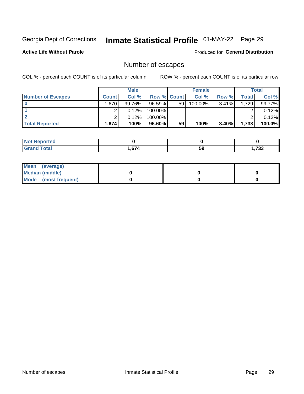## Inmate Statistical Profile 01-MAY-22 Page 29

**Active Life Without Parole** 

Produced for General Distribution

## Number of escapes

COL % - percent each COUNT is of its particular column

|                          | <b>Male</b>  |        |                    | <b>Female</b> |         |          | Total |        |
|--------------------------|--------------|--------|--------------------|---------------|---------|----------|-------|--------|
| <b>Number of Escapes</b> | <b>Count</b> | Col %  | <b>Row % Count</b> |               | Col %   | Row %    | Total | Col %  |
|                          | 1,670        | 99.76% | 96.59%             | 59            | 100.00% | 3.41%    | 1,729 | 99.77% |
|                          |              | 0.12%  | $100.00\%$         |               |         |          |       | 0.12%  |
|                          |              | 0.12%  | $100.00\%$         |               |         |          |       | 0.12%  |
| <b>Total Reported</b>    | 1,674        | 100%   | $96.60\%$          | 59            | 100%    | $3.40\%$ | 1,733 | 100.0% |

| rted<br>NO:          |      |    |            |
|----------------------|------|----|------------|
| <b>otal</b><br>Grand | .674 | 59 | フへへ<br>് ാ |

| Mean (average)       |  |  |
|----------------------|--|--|
| Median (middle)      |  |  |
| Mode (most frequent) |  |  |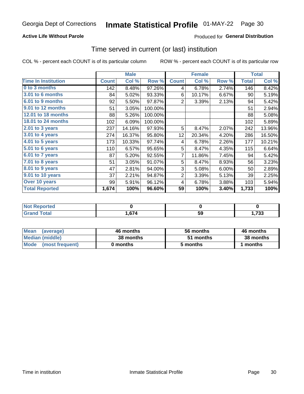#### **Active Life Without Parole**

#### Produced for General Distribution

### Time served in current (or last) institution

COL % - percent each COUNT is of its particular column

|                            |              | <b>Male</b> |         |                 | <b>Female</b> | <b>Total</b> |              |        |
|----------------------------|--------------|-------------|---------|-----------------|---------------|--------------|--------------|--------|
| <b>Time In Institution</b> | <b>Count</b> | Col %       | Row %   | <b>Count</b>    | Col %         | Row %        | <b>Total</b> | Col %  |
| 0 to 3 months              | 142          | 8.48%       | 97.26%  | 4               | 6.78%         | 2.74%        | 146          | 8.42%  |
| <b>3.01 to 6 months</b>    | 84           | 5.02%       | 93.33%  | 6               | 10.17%        | 6.67%        | 90           | 5.19%  |
| 6.01 to 9 months           | 92           | 5.50%       | 97.87%  | 2               | 3.39%         | 2.13%        | 94           | 5.42%  |
| 9.01 to 12 months          | 51           | 3.05%       | 100.00% |                 |               |              | 51           | 2.94%  |
| 12.01 to 18 months         | 88           | 5.26%       | 100.00% |                 |               |              | 88           | 5.08%  |
| <b>18.01 to 24 months</b>  | 102          | 6.09%       | 100.00% |                 |               |              | 102          | 5.89%  |
| $2.01$ to 3 years          | 237          | 14.16%      | 97.93%  | 5               | 8.47%         | 2.07%        | 242          | 13.96% |
| $3.01$ to 4 years          | 274          | 16.37%      | 95.80%  | 12 <sub>2</sub> | 20.34%        | 4.20%        | 286          | 16.50% |
| 4.01 to 5 years            | 173          | 10.33%      | 97.74%  | 4               | 6.78%         | 2.26%        | 177          | 10.21% |
| 5.01 to 6 years            | 110          | 6.57%       | 95.65%  | 5               | 8.47%         | 4.35%        | 115          | 6.64%  |
| 6.01 to 7 years            | 87           | 5.20%       | 92.55%  | $\overline{7}$  | 11.86%        | 7.45%        | 94           | 5.42%  |
| 7.01 to 8 years            | 51           | 3.05%       | 91.07%  | 5               | 8.47%         | 8.93%        | 56           | 3.23%  |
| 8.01 to 9 years            | 47           | 2.81%       | 94.00%  | 3               | 5.08%         | 6.00%        | 50           | 2.89%  |
| 9.01 to 10 years           | 37           | 2.21%       | 94.87%  | $\overline{2}$  | 3.39%         | 5.13%        | 39           | 2.25%  |
| Over 10 years              | 99           | 5.91%       | 96.12%  | 4               | 6.78%         | 3.88%        | 103          | 5.94%  |
| <b>Total Reported</b>      | 1,674        | 100%        | 96.60%  | 59              | 100%          | 3.40%        | 1,733        | 100%   |

| <b>Reported</b><br><b>NOT</b> |        |    |              |
|-------------------------------|--------|----|--------------|
| <i>i</i> otal                 | $\sim$ | 59 | 700<br>,, JJ |

| <b>Mean</b><br>(average) | 46 months | 56 months | 46 months |
|--------------------------|-----------|-----------|-----------|
| Median (middle)          | 38 months | 51 months | 38 months |
| Mode (most frequent)     | 0 months  | 5 months  | 1 months  |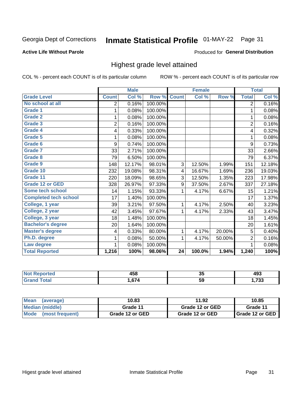## Inmate Statistical Profile 01-MAY-22 Page 31

#### **Active Life Without Parole**

#### Produced for General Distribution

### Highest grade level attained

COL % - percent each COUNT is of its particular column

|                              |                | <b>Male</b> |         |                 | <b>Female</b> |        |                | <b>Total</b> |
|------------------------------|----------------|-------------|---------|-----------------|---------------|--------|----------------|--------------|
| <b>Grade Level</b>           | <b>Count</b>   | Col %       | Row %   | <b>Count</b>    | Col %         | Row %  | <b>Total</b>   | Col %        |
| No school at all             | 2              | 0.16%       | 100.00% |                 |               |        | $\overline{2}$ | 0.16%        |
| <b>Grade 1</b>               | 1              | 0.08%       | 100.00% |                 |               |        | 1              | 0.08%        |
| <b>Grade 2</b>               | 1              | 0.08%       | 100.00% |                 |               |        | 1              | 0.08%        |
| <b>Grade 3</b>               | $\overline{2}$ | 0.16%       | 100.00% |                 |               |        | $\overline{2}$ | 0.16%        |
| <b>Grade 4</b>               | 4              | 0.33%       | 100.00% |                 |               |        | 4              | 0.32%        |
| <b>Grade 5</b>               | 1              | 0.08%       | 100.00% |                 |               |        | 1              | 0.08%        |
| Grade 6                      | 9              | 0.74%       | 100.00% |                 |               |        | 9              | 0.73%        |
| Grade 7                      | 33             | 2.71%       | 100.00% |                 |               |        | 33             | 2.66%        |
| Grade 8                      | 79             | 6.50%       | 100.00% |                 |               |        | 79             | 6.37%        |
| Grade 9                      | 148            | 12.17%      | 98.01%  | 3               | 12.50%        | 1.99%  | 151            | 12.18%       |
| Grade 10                     | 232            | 19.08%      | 98.31%  | 4               | 16.67%        | 1.69%  | 236            | 19.03%       |
| Grade 11                     | 220            | 18.09%      | 98.65%  | 3               | 12.50%        | 1.35%  | 223            | 17.98%       |
| <b>Grade 12 or GED</b>       | 328            | 26.97%      | 97.33%  | 9               | 37.50%        | 2.67%  | 337            | 27.18%       |
| Some tech school             | 14             | 1.15%       | 93.33%  | 1               | 4.17%         | 6.67%  | 15             | 1.21%        |
| <b>Completed tech school</b> | 17             | 1.40%       | 100.00% |                 |               |        | 17             | 1.37%        |
| College, 1 year              | 39             | 3.21%       | 97.50%  | 1               | 4.17%         | 2.50%  | 40             | 3.23%        |
| College, 2 year              | 42             | 3.45%       | 97.67%  | 1               | 4.17%         | 2.33%  | 43             | 3.47%        |
| College, 3 year              | 18             | 1.48%       | 100.00% |                 |               |        | 18             | 1.45%        |
| <b>Bachelor's degree</b>     | 20             | 1.64%       | 100.00% |                 |               |        | 20             | 1.61%        |
| <b>Master's degree</b>       | 4              | 0.33%       | 80.00%  | 1               | 4.17%         | 20.00% | 5              | 0.40%        |
| Ph.D. degree                 | 1              | 0.08%       | 50.00%  | 1               | 4.17%         | 50.00% | $\overline{2}$ | 0.16%        |
| Law degree                   |                | 0.08%       | 100.00% |                 |               |        |                | 0.08%        |
| <b>Total Reported</b>        | 1,216          | 100%        | 98.06%  | $\overline{24}$ | 100.0%        | 1.94%  | 1,240          | 100%         |

| rted        | AEC | w  | .         |
|-------------|-----|----|-----------|
| NO          | TJU |    | 491       |
| <b>Utal</b> | 674 | 59 | フクク<br>vu |

| <b>Mean</b><br>(average) | 10.83           | 11.92           | 10.85             |
|--------------------------|-----------------|-----------------|-------------------|
| Median (middle)          | Grade 11        | Grade 12 or GED | Grade 11          |
| Mode (most frequent)     | Grade 12 or GED | Grade 12 or GED | I Grade 12 or GED |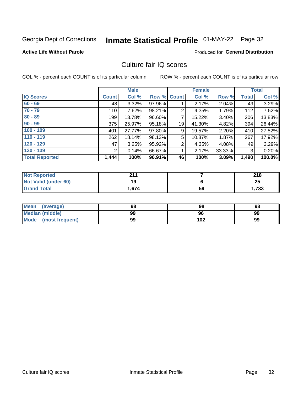## Inmate Statistical Profile 01-MAY-22 Page 32

#### **Active Life Without Parole**

#### **Produced for General Distribution**

### Culture fair IQ scores

COL % - percent each COUNT is of its particular column

|                       |              | <b>Male</b> |                    |                | <b>Female</b> |          |              | <b>Total</b> |
|-----------------------|--------------|-------------|--------------------|----------------|---------------|----------|--------------|--------------|
| <b>IQ Scores</b>      | <b>Count</b> | Col %       | <b>Row % Count</b> |                | Col %         | Row %    | <b>Total</b> | Col %        |
| $60 - 69$             | 48           | 3.32%       | 97.96%             |                | 2.17%         | $2.04\%$ | 49           | 3.29%        |
| $70 - 79$             | 110          | 7.62%       | 98.21%             | 2              | 4.35%         | 1.79%    | 112          | 7.52%        |
| $80 - 89$             | 199          | 13.78%      | 96.60%             | 7              | 15.22%        | 3.40%    | 206          | 13.83%       |
| $90 - 99$             | 375          | 25.97%      | 95.18%             | 19             | 41.30%        | 4.82%    | 394          | 26.44%       |
| $100 - 109$           | 401          | 27.77%      | 97.80%             | 9              | 19.57%        | 2.20%    | 410          | 27.52%       |
| $110 - 119$           | 262          | 18.14%      | 98.13%             | 5              | 10.87%        | $1.87\%$ | 267          | 17.92%       |
| $120 - 129$           | 47           | 3.25%       | 95.92%             | $\overline{2}$ | 4.35%         | $4.08\%$ | 49           | 3.29%        |
| $130 - 139$           | 2            | 0.14%       | 66.67%             | 1              | 2.17%         | 33.33%   | 3            | 0.20%        |
| <b>Total Reported</b> | 1,444        | 100%        | 96.91%             | 46             | 100%          | 3.09%    | 1,490        | 100.0%       |

| <b>Not Reported</b>  | 944   |    | 218   |
|----------------------|-------|----|-------|
| Not Valid (under 60) | 19    |    | 25    |
| <b>Grand Total</b>   | 1,674 | 59 | 1,733 |

| <b>Mean</b><br>(average) | 98 | 98  | 98 |
|--------------------------|----|-----|----|
| Median (middle)          | 99 | 96  | 99 |
| Mode (most frequent)     | 99 | 102 | 99 |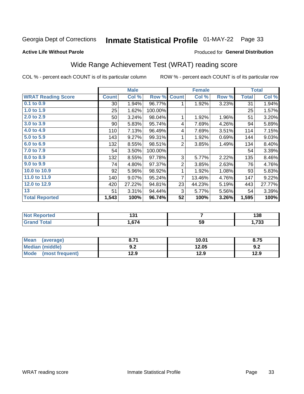## Inmate Statistical Profile 01-MAY-22 Page 33

#### **Active Life Without Parole**

#### Produced for General Distribution

### Wide Range Achievement Test (WRAT) reading score

COL % - percent each COUNT is of its particular column

|                           |              | <b>Male</b> |         |                | <b>Female</b>   |       |              | <b>Total</b> |
|---------------------------|--------------|-------------|---------|----------------|-----------------|-------|--------------|--------------|
| <b>WRAT Reading Score</b> | <b>Count</b> | Col %       | Row %   | <b>Count</b>   | Col %           | Row % | <b>Total</b> | Col %        |
| 0.1 to 0.9                | $30$         | 1.94%       | 96.77%  | 1              | 1.92%           | 3.23% | 31           | 1.94%        |
| 1.0 to 1.9                | 25           | 1.62%       | 100.00% |                |                 |       | 25           | 1.57%        |
| 2.0 to 2.9                | 50           | 3.24%       | 98.04%  | 1              | 1.92%           | 1.96% | 51           | 3.20%        |
| 3.0 to 3.9                | 90           | 5.83%       | 95.74%  | 4              | 7.69%           | 4.26% | 94           | 5.89%        |
| 4.0 to 4.9                | 110          | 7.13%       | 96.49%  | 4              | 7.69%           | 3.51% | 114          | 7.15%        |
| 5.0 to 5.9                | 143          | 9.27%       | 99.31%  | 1              | 1.92%           | 0.69% | 144          | 9.03%        |
| 6.0 to 6.9                | 132          | 8.55%       | 98.51%  | $\overline{2}$ | 3.85%           | 1.49% | 134          | 8.40%        |
| 7.0 to 7.9                | 54           | 3.50%       | 100.00% |                |                 |       | 54           | 3.39%        |
| 8.0 to 8.9                | 132          | 8.55%       | 97.78%  | 3              | 5.77%           | 2.22% | 135          | 8.46%        |
| 9.0 to 9.9                | 74           | 4.80%       | 97.37%  | $\mathbf 2$    | 3.85%           | 2.63% | 76           | 4.76%        |
| 10.0 to 10.9              | 92           | 5.96%       | 98.92%  | 1              | 1.92%           | 1.08% | 93           | 5.83%        |
| 11.0 to 11.9              | 140          | 9.07%       | 95.24%  | 7              | 13.46%          | 4.76% | 147          | 9.22%        |
| 12.0 to 12.9              | 420          | 27.22%      | 94.81%  | 23             | 44.23%          | 5.19% | 443          | 27.77%       |
| 13                        | 51           | 3.31%       | 94.44%  | 3              | 5.77%           | 5.56% | 54           | 3.39%        |
| <b>Total Reported</b>     | 1,543        | 100%        | 96.74%  | 52             | 100%            | 3.26% | 1,595        | 100%         |
|                           |              |             |         |                |                 |       |              |              |
| <b>Not Reported</b>       |              | 131         |         |                | $\overline{7}$  |       |              | 138          |
| <b>Grand Total</b>        |              | 1,674       |         |                | $\overline{59}$ |       |              | 1,733        |

| Mean (average)       | 8.71 | 10.01 | 8.75 |
|----------------------|------|-------|------|
| Median (middle)      | 9.2  | 12.05 | 9.2  |
| Mode (most frequent) | 12.9 | 12.9  | 12.9 |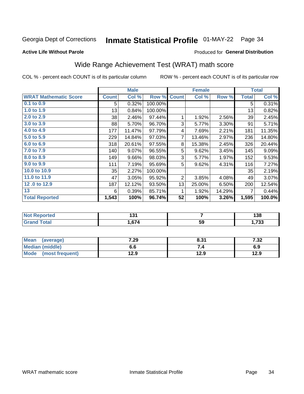## Inmate Statistical Profile 01-MAY-22 Page 34

#### **Active Life Without Parole**

#### Produced for General Distribution

## Wide Range Achievement Test (WRAT) math score

COL % - percent each COUNT is of its particular column

|                              |              | <b>Male</b> |         |              | <b>Female</b> |        |              | <b>Total</b> |
|------------------------------|--------------|-------------|---------|--------------|---------------|--------|--------------|--------------|
| <b>WRAT Mathematic Score</b> | <b>Count</b> | Col %       | Row %   | <b>Count</b> | Col %         | Row %  | <b>Total</b> | Col %        |
| 0.1 to 0.9                   | 5            | 0.32%       | 100.00% |              |               |        | 5            | 0.31%        |
| 1.0 to 1.9                   | 13           | 0.84%       | 100.00% |              |               |        | 13           | 0.82%        |
| 2.0 to 2.9                   | 38           | 2.46%       | 97.44%  | 1            | 1.92%         | 2.56%  | 39           | 2.45%        |
| 3.0 to 3.9                   | 88           | 5.70%       | 96.70%  | 3            | 5.77%         | 3.30%  | 91           | 5.71%        |
| 4.0 to 4.9                   | 177          | 11.47%      | 97.79%  | 4            | 7.69%         | 2.21%  | 181          | 11.35%       |
| 5.0 to 5.9                   | 229          | 14.84%      | 97.03%  | 7            | 13.46%        | 2.97%  | 236          | 14.80%       |
| 6.0 to 6.9                   | 318          | 20.61%      | 97.55%  | 8            | 15.38%        | 2.45%  | 326          | 20.44%       |
| 7.0 to 7.9                   | 140          | 9.07%       | 96.55%  | 5            | 9.62%         | 3.45%  | 145          | 9.09%        |
| 8.0 to 8.9                   | 149          | 9.66%       | 98.03%  | 3            | 5.77%         | 1.97%  | 152          | 9.53%        |
| 9.0 to 9.9                   | 111          | 7.19%       | 95.69%  | 5            | 9.62%         | 4.31%  | 116          | 7.27%        |
| 10.0 to 10.9                 | 35           | 2.27%       | 100.00% |              |               |        | 35           | 2.19%        |
| 11.0 to 11.9                 | 47           | 3.05%       | 95.92%  | 2            | 3.85%         | 4.08%  | 49           | 3.07%        |
| 12.0 to 12.9                 | 187          | 12.12%      | 93.50%  | 13           | 25.00%        | 6.50%  | 200          | 12.54%       |
| 13                           | 6            | 0.39%       | 85.71%  | 1            | 1.92%         | 14.29% | 7            | 0.44%        |
| <b>Total Reported</b>        | 1,543        | 100%        | 96.74%  | 52           | 100%          | 3.26%  | 1,595        | 100.0%       |
|                              |              |             |         |              |               |        |              |              |
| Not Reported                 |              | 131         |         |              | 7             |        |              | 13R          |

|                                       | . .<br>___ |    | .<br>סכי  |
|---------------------------------------|------------|----|-----------|
| $\sim$ $\sim$ $\sim$ $\sim$<br>------ | c74<br>74  | 59 | 700<br>აა |
|                                       |            |    |           |

| <b>Mean</b><br>(average)       | 7.29 | 8.31 | 7.22.<br>∡د. ≀ |
|--------------------------------|------|------|----------------|
| Median (middle)                | 6.6  |      | 6.9            |
| <b>Mode</b><br>(most frequent) | 12.9 | 12.9 | 12.9           |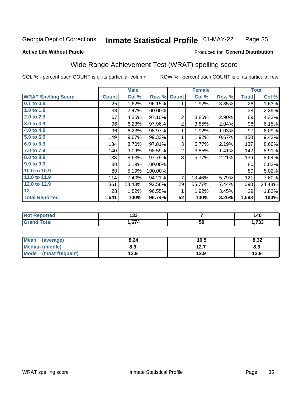#### Inmate Statistical Profile 01-MAY-22 Page 35

#### **Active Life Without Parole**

#### Produced for General Distribution

### Wide Range Achievement Test (WRAT) spelling score

COL % - percent each COUNT is of its particular column

|                            |              | <b>Male</b> |         |                | <b>Female</b> |       |              | <b>Total</b> |
|----------------------------|--------------|-------------|---------|----------------|---------------|-------|--------------|--------------|
| <b>WRAT Spelling Score</b> | <b>Count</b> | Col %       | Row %   | <b>Count</b>   | Col %         | Row % | <b>Total</b> | Col %        |
| $0.1$ to $0.9$             | 25           | 1.62%       | 96.15%  | 1              | 1.92%         | 3.85% | 26           | 1.63%        |
| 1.0 to 1.9                 | 38           | 2.47%       | 100.00% |                |               |       | 38           | 2.39%        |
| 2.0 to 2.9                 | 67           | 4.35%       | 97.10%  | $\overline{2}$ | 3.85%         | 2.90% | 69           | 4.33%        |
| 3.0 to 3.9                 | 96           | 6.23%       | 97.96%  | $\overline{2}$ | 3.85%         | 2.04% | 98           | 6.15%        |
| 4.0 to 4.9                 | 96           | 6.23%       | 98.97%  | 1              | 1.92%         | 1.03% | 97           | 6.09%        |
| 5.0 to 5.9                 | 149          | 9.67%       | 99.33%  | 1              | 1.92%         | 0.67% | 150          | 9.42%        |
| 6.0 to 6.9                 | 134          | 8.70%       | 97.81%  | 3              | 5.77%         | 2.19% | 137          | 8.60%        |
| 7.0 to 7.9                 | 140          | 9.09%       | 98.59%  | $\overline{2}$ | 3.85%         | 1.41% | 142          | 8.91%        |
| 8.0 to 8.9                 | 133          | 8.63%       | 97.79%  | 3              | 5.77%         | 2.21% | 136          | 8.54%        |
| 9.0 to 9.9                 | 80           | 5.19%       | 100.00% |                |               |       | 80           | 5.02%        |
| 10.0 to 10.9               | 80           | 5.19%       | 100.00% |                |               |       | 80           | 5.02%        |
| 11.0 to 11.9               | 114          | 7.40%       | 94.21%  | $\overline{7}$ | 13.46%        | 5.79% | 121          | 7.60%        |
| 12.0 to 12.9               | 361          | 23.43%      | 92.56%  | 29             | 55.77%        | 7.44% | 390          | 24.48%       |
| 13                         | 28           | 1.82%       | 96.55%  | 1              | 1.92%         | 3.45% | 29           | 1.82%        |
| <b>Total Reported</b>      | 1,541        | 100%        | 96.74%  | 52             | 100%          | 3.26% | 1,593        | 100%         |
|                            |              |             |         |                |               |       |              |              |
| <b>Not Reported</b>        |              | 133         |         | 7              |               |       |              | 140          |
| <b>Grand Total</b>         |              | 1,674       |         |                | 59            |       |              | 1,733        |
|                            |              |             |         |                |               |       |              |              |

| <b>Mean</b><br>(average) | 8.24 | 10.5 | 8.32 |
|--------------------------|------|------|------|
| <b>Median (middle)</b>   | 8.3  | 12.7 | ი.ა  |
| Mode (most frequent)     | 12.9 | 12.9 | 12.9 |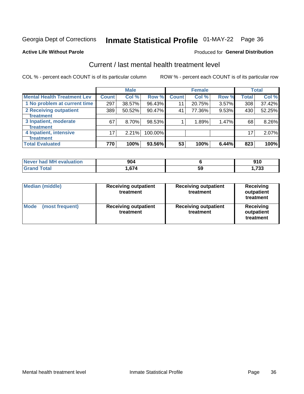## Inmate Statistical Profile 01-MAY-22 Page 36

#### **Active Life Without Parole**

#### **Produced for General Distribution**

## Current / last mental health treatment level

COL % - percent each COUNT is of its particular column

|                                    |                 | <b>Male</b> |         |              | <b>Female</b> |       |              | <b>Total</b> |
|------------------------------------|-----------------|-------------|---------|--------------|---------------|-------|--------------|--------------|
| <b>Mental Health Treatment Lev</b> | <b>Count</b>    | Col %       | Row %   | <b>Count</b> | Col %         | Row % | <b>Total</b> | Col %        |
| 1 No problem at current time       | 297             | 38.57%      | 96.43%  | 11           | 20.75%        | 3.57% | 308          | 37.42%       |
| 2 Receiving outpatient             | 389             | 50.52%      | 90.47%  | 41           | 77.36%        | 9.53% | 430          | 52.25%       |
| <b>Treatment</b>                   |                 |             |         |              |               |       |              |              |
| 3 Inpatient, moderate              | 67              | 8.70%       | 98.53%  |              | 1.89%         | 1.47% | 68           | 8.26%        |
| <b>Treatment</b>                   |                 |             |         |              |               |       |              |              |
| 4 Inpatient, intensive             | 17 <sub>1</sub> | 2.21%       | 100.00% |              |               |       | 17           | 2.07%        |
| <b>Treatment</b>                   |                 |             |         |              |               |       |              |              |
| <b>Total Evaluated</b>             | 770             | 100%        | 93.56%  | 53           | 100%          | 6.44% | 823          | 100%         |

| Never had MH evaluation | 904   |    | 010<br>JIV  |
|-------------------------|-------|----|-------------|
| Total                   | 674،، | ხყ | フつつ<br>. טי |

| <b>Median (middle)</b>         | <b>Receiving outpatient</b><br>treatment | <b>Receiving outpatient</b><br>treatment | <b>Receiving</b><br>outpatient<br>treatment |
|--------------------------------|------------------------------------------|------------------------------------------|---------------------------------------------|
| <b>Mode</b><br>(most frequent) | <b>Receiving outpatient</b><br>treatment | <b>Receiving outpatient</b><br>treatment | <b>Receiving</b><br>outpatient<br>treatment |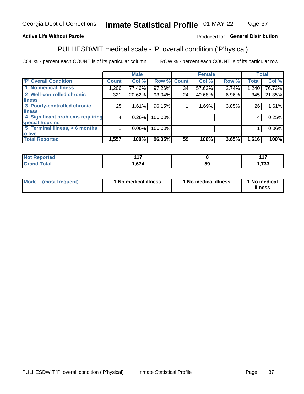#### Inmate Statistical Profile 01-MAY-22 Page 37

#### **Active Life Without Parole**

#### Produced for General Distribution

## PULHESDWIT medical scale - 'P' overall condition ('P'hysical)

COL % - percent each COUNT is of its particular column

|                                  |              | <b>Male</b> |             |    | <b>Female</b> |       |              | <b>Total</b> |
|----------------------------------|--------------|-------------|-------------|----|---------------|-------|--------------|--------------|
| 'P' Overall Condition            | <b>Count</b> | Col %       | Row % Count |    | Col %         | Row % | <b>Total</b> | Col %        |
| 1 No medical illness             | 1,206        | 77.46%      | 97.26%      | 34 | 57.63%        | 2.74% | 1,240        | 76.73%       |
| 2 Well-controlled chronic        | 321          | 20.62%      | 93.04%      | 24 | 40.68%        | 6.96% | 345          | 21.35%       |
| <b>lillness</b>                  |              |             |             |    |               |       |              |              |
| 3 Poorly-controlled chronic      | 25           | 1.61%       | 96.15%      |    | 1.69%         | 3.85% | 26           | 1.61%        |
| <b>illness</b>                   |              |             |             |    |               |       |              |              |
| 4 Significant problems requiring | 4            | 0.26%       | 100.00%     |    |               |       | 4            | 0.25%        |
| special housing                  |              |             |             |    |               |       |              |              |
| 5 Terminal illness, < 6 months   |              | $0.06\%$    | 100.00%     |    |               |       |              | 0.06%        |
| to live                          |              |             |             |    |               |       |              |              |
| <b>Total Reported</b>            | 1,557        | 100%        | 96.35%      | 59 | 100%          | 3.65% | 1,616        | 100%         |

| rtea<br>ени<br>.                | 447 |    | 447       |
|---------------------------------|-----|----|-----------|
| $f \wedge f \wedge f$<br>______ | 67/ | Jã | フへへ<br>ാാ |

|  |  | Mode (most frequent) | 1 No medical illness | 1 No medical illness | 1 No medical<br>illness |
|--|--|----------------------|----------------------|----------------------|-------------------------|
|--|--|----------------------|----------------------|----------------------|-------------------------|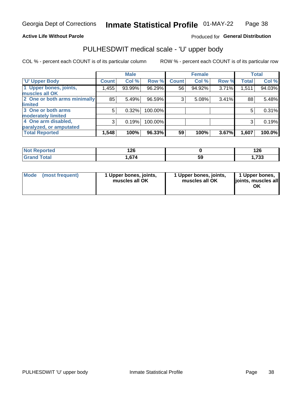#### **Active Life Without Parole**

#### Produced for General Distribution

## PULHESDWIT medical scale - 'U' upper body

COL % - percent each COUNT is of its particular column

|                              |              | <b>Male</b> |         |              | <b>Female</b> |       |              | <b>Total</b> |
|------------------------------|--------------|-------------|---------|--------------|---------------|-------|--------------|--------------|
| <b>U' Upper Body</b>         | <b>Count</b> | Col %       | Row %   | <b>Count</b> | Col %         | Row % | <b>Total</b> | Col %        |
| 1 Upper bones, joints,       | 1,455        | 93.99%      | 96.29%  | 56           | 94.92%        | 3.71% | 1,511        | 94.03%       |
| muscles all OK               |              |             |         |              |               |       |              |              |
| 2 One or both arms minimally | 85           | 5.49%       | 96.59%  | 3            | 5.08%         | 3.41% | 88           | 5.48%        |
| <b>limited</b>               |              |             |         |              |               |       |              |              |
| 3 One or both arms           | 5            | 0.32%       | 100.00% |              |               |       | 5            | 0.31%        |
| <b>moderately limited</b>    |              |             |         |              |               |       |              |              |
| 4 One arm disabled,          | 3            | 0.19%       | 100.00% |              |               |       | 3            | 0.19%        |
| paralyzed, or amputated      |              |             |         |              |               |       |              |              |
| <b>Total Reported</b>        | 1,548        | 100%        | 96.33%  | 59           | 100%          | 3.67% | 1,607        | 100.0%       |

| <b>Not Reported</b> | 126   |    | 126         |
|---------------------|-------|----|-------------|
| <b>Total</b>        | 1,674 | 59 | フクク<br>. აა |

| Mode | (most frequent) | 1 Upper bones, joints,<br>muscles all OK | 1 Upper bones, joints,<br>muscles all OK | 1 Upper bones,<br>ljoints, muscles all<br>OK |
|------|-----------------|------------------------------------------|------------------------------------------|----------------------------------------------|
|------|-----------------|------------------------------------------|------------------------------------------|----------------------------------------------|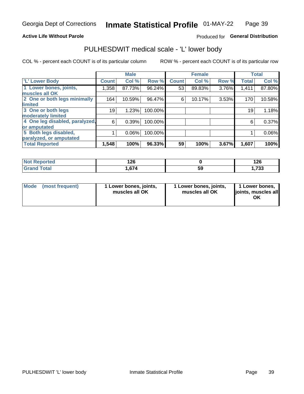#### **Active Life Without Parole**

#### Produced for General Distribution

### PULHESDWIT medical scale - 'L' lower body

COL % - percent each COUNT is of its particular column

|                                |              | <b>Male</b> |         |              | <b>Female</b> |       |              | <b>Total</b> |
|--------------------------------|--------------|-------------|---------|--------------|---------------|-------|--------------|--------------|
| 'L' Lower Body                 | <b>Count</b> | Col %       | Row %   | <b>Count</b> | Col %         | Row % | <b>Total</b> | Col %        |
| 1 Lower bones, joints,         | 1,358        | 87.73%      | 96.24%  | 53           | 89.83%        | 3.76% | 1,411        | 87.80%       |
| muscles all OK                 |              |             |         |              |               |       |              |              |
| 2 One or both legs minimally   | 164          | 10.59%      | 96.47%  | 6            | 10.17%        | 3.53% | 170          | 10.58%       |
| limited                        |              |             |         |              |               |       |              |              |
| 3 One or both legs             | 19           | 1.23%       | 100.00% |              |               |       | 19           | 1.18%        |
| moderately limited             |              |             |         |              |               |       |              |              |
| 4 One leg disabled, paralyzed, | 6            | 0.39%       | 100.00% |              |               |       | 6            | 0.37%        |
| or amputated                   |              |             |         |              |               |       |              |              |
| 5 Both legs disabled,          |              | 0.06%       | 100.00% |              |               |       |              | $0.06\%$     |
| paralyzed, or amputated        |              |             |         |              |               |       |              |              |
| <b>Total Reported</b>          | 1,548        | 100%        | 96.33%  | 59           | 100%          | 3.67% | 1,607        | 100%         |

| <b>Not Reported</b> | 1 ጎድ<br>14U |    | .<br>1 Z U |
|---------------------|-------------|----|------------|
| <b>Grand Total</b>  | 1,674       | JJ | フクク<br>.   |

|  | Mode (most frequent) | 1 Lower bones, joints,<br>muscles all OK | 1 Lower bones, joints,<br>muscles all OK | 1 Lower bones,<br>joints, muscles all<br>ΟK |
|--|----------------------|------------------------------------------|------------------------------------------|---------------------------------------------|
|--|----------------------|------------------------------------------|------------------------------------------|---------------------------------------------|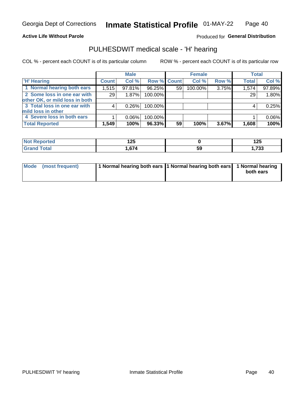#### **Active Life Without Parole**

Produced for General Distribution

### PULHESDWIT medical scale - 'H' hearing

COL % - percent each COUNT is of its particular column

|                                |              | <b>Male</b> |             |    | <b>Female</b> |       | <b>Total</b> |        |
|--------------------------------|--------------|-------------|-------------|----|---------------|-------|--------------|--------|
| <b>H' Hearing</b>              | <b>Count</b> | Col %       | Row % Count |    | Col %         | Row % | <b>Total</b> | Col %  |
| 1 Normal hearing both ears     | 1,515        | 97.81%      | 96.25%      | 59 | 100.00%       | 3.75% | 1,574        | 97.89% |
| 2 Some loss in one ear with    | 29           | 1.87%       | 100.00%     |    |               |       | 29           | 1.80%  |
| other OK, or mild loss in both |              |             |             |    |               |       |              |        |
| 3 Total loss in one ear with   | 4            | 0.26%       | 100.00%     |    |               |       | 4            | 0.25%  |
| mild loss in other             |              |             |             |    |               |       |              |        |
| 4 Severe loss in both ears     |              | $0.06\%$    | 100.00%     |    |               |       |              | 0.06%  |
| <b>Total Reported</b>          | 1,549        | 100%        | 96.33%      | 59 | 100%          | 3.67% | 1,608        | 100%   |

| ported              | .      |     | 1つに           |
|---------------------|--------|-----|---------------|
| <b>NOT</b>          | 12J    |     | 12J           |
| $\sim$ 10<br>______ | $\sim$ | -59 | 722<br>50 ، ا |

| Mode (most frequent) | 1 Normal hearing both ears 1 Normal hearing both ears 1 Normal hearing | both ears |
|----------------------|------------------------------------------------------------------------|-----------|
|                      |                                                                        |           |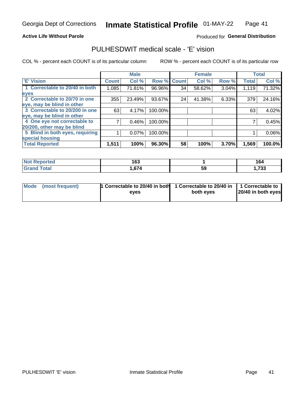#### **Active Life Without Parole**

#### Produced for General Distribution

### PULHESDWIT medical scale - 'E' vision

COL % - percent each COUNT is of its particular column

|                                 |                    | <b>Male</b> |         |              | <b>Female</b> |       |              | <b>Total</b> |
|---------------------------------|--------------------|-------------|---------|--------------|---------------|-------|--------------|--------------|
| <b>E' Vision</b>                | Count <sup>'</sup> | Col %       | Row %   | <b>Count</b> | Col %         | Row % | <b>Total</b> | Col %        |
| 1 Correctable to 20/40 in both  | 1,085              | 71.81%      | 96.96%  | 34           | 58.62%        | 3.04% | 1,119        | 71.32%       |
| eyes                            |                    |             |         |              |               |       |              |              |
| 2 Correctable to 20/70 in one   | 355                | 23.49%      | 93.67%  | 24           | 41.38%        | 6.33% | 379          | 24.16%       |
| eye, may be blind in other      |                    |             |         |              |               |       |              |              |
| 3 Correctable to 20/200 in one  | 63                 | 4.17%       | 100.00% |              |               |       | 63           | 4.02%        |
| eye, may be blind in other      |                    |             |         |              |               |       |              |              |
| 4 One eye not correctable to    |                    | 0.46%       | 100.00% |              |               |       |              | 0.45%        |
| 20/200, other may be blind      |                    |             |         |              |               |       |              |              |
| 5 Blind in both eyes, requiring |                    | 0.07%       | 100.00% |              |               |       |              | 0.06%        |
| special housing                 |                    |             |         |              |               |       |              |              |
| <b>Total Reported</b>           | 1,511              | 100%        | 96.30%  | 58           | 100%          | 3.70% | 1,569        | 100.0%       |

| <b>ported</b><br>NOT<br>kenor | 163   |    | 164         |
|-------------------------------|-------|----|-------------|
| <b>Total</b>                  | .,674 | 59 | フクク<br>נט ו |

| Mode (most frequent) | 1 Correctable to 20/40 in both<br>eves | 1 Correctable to 20/40 in   1 Correctable to  <br>both eves | 20/40 in both eyes |
|----------------------|----------------------------------------|-------------------------------------------------------------|--------------------|
|                      |                                        |                                                             |                    |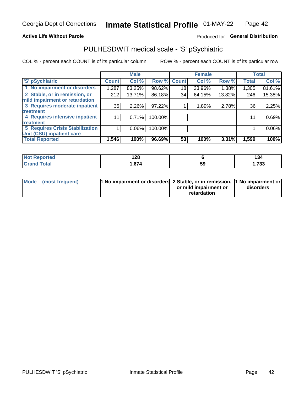#### **Active Life Without Parole**

#### Produced for General Distribution

## PULHESDWIT medical scale - 'S' pSychiatric

COL % - percent each COUNT is of its particular column

|                                        |              | <b>Male</b> |         |              | <b>Female</b> |        |              | <b>Total</b> |
|----------------------------------------|--------------|-------------|---------|--------------|---------------|--------|--------------|--------------|
| 'S' pSychiatric                        | <b>Count</b> | Col %       | Row %   | <b>Count</b> | Col %         | Row %  | <b>Total</b> | Col %        |
| 1 No impairment or disorders           | 1,287        | 83.25%      | 98.62%  | 18           | 33.96%        | 1.38%  | 1,305        | 81.61%       |
| 2 Stable, or in remission, or          | 212          | 13.71%      | 86.18%  | 34           | 64.15%        | 13.82% | 246          | 15.38%       |
| mild impairment or retardation         |              |             |         |              |               |        |              |              |
| 3 Requires moderate inpatient          | 35           | $2.26\%$    | 97.22%  |              | 1.89%         | 2.78%  | 36           | 2.25%        |
| <b>treatment</b>                       |              |             |         |              |               |        |              |              |
| 4 Requires intensive inpatient         | 11           | 0.71%       | 100.00% |              |               |        | 11           | 0.69%        |
| <b>treatment</b>                       |              |             |         |              |               |        |              |              |
| <b>5 Requires Crisis Stabilization</b> |              | $0.06\%$    | 100.00% |              |               |        |              | 0.06%        |
| Unit (CSU) inpatient care              |              |             |         |              |               |        |              |              |
| <b>Total Reported</b>                  | 1,546        | 100%        | 96.69%  | 53           | 100%          | 3.31%  | 1,599        | 100%         |

| <b>Endred</b><br>NO:<br>керо | 190<br>170 |    | . .<br>194 |
|------------------------------|------------|----|------------|
| <b>Total</b>                 | 674        | 59 | ,733       |

| Mode (most frequent) | <b>1 No impairment or disorders</b> 2 Stable, or in remission, 11 No impairment or |                       |           |
|----------------------|------------------------------------------------------------------------------------|-----------------------|-----------|
|                      |                                                                                    | or mild impairment or | disorders |
|                      |                                                                                    | retardation           |           |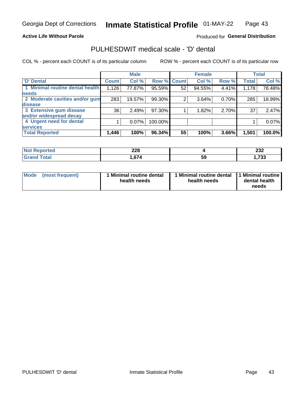#### **Active Life Without Parole**

#### Produced for General Distribution

## PULHESDWIT medical scale - 'D' dental

COL % - percent each COUNT is of its particular column

|                                 |              | <b>Male</b> |             |    | <b>Female</b> |       |              | <b>Total</b> |
|---------------------------------|--------------|-------------|-------------|----|---------------|-------|--------------|--------------|
| <b>D'</b> Dental                | <b>Count</b> | Col %       | Row % Count |    | Col %         | Row % | <b>Total</b> | Col %        |
| 1 Minimal routine dental health | 1,126        | 77.87%      | 95.59%      | 52 | 94.55%        | 4.41% | 1,178        | 78.48%       |
| <b>needs</b>                    |              |             |             |    |               |       |              |              |
| 2 Moderate cavities and/or gum  | 283          | 19.57%      | 99.30%      |    | 3.64%         | 0.70% | 285          | 18.99%       |
| disease                         |              |             |             |    |               |       |              |              |
| 3 Extensive gum disease         | 36           | 2.49%       | 97.30%      |    | 1.82%         | 2.70% | 37           | 2.47%        |
| and/or widespread decay         |              |             |             |    |               |       |              |              |
| 4 Urgent need for dental        |              | 0.07%       | 100.00%     |    |               |       |              | 0.07%        |
| <b>services</b>                 |              |             |             |    |               |       |              |              |
| <b>Total Reported</b>           | 1,446        | 100%        | 96.34%      | 55 | 100%          | 3.66% | 1,501        | 100.0%       |

| orted<br>NOT RADO<br>. | າາ໑<br>ZZO  |    | າາາ<br>ZJZ     |
|------------------------|-------------|----|----------------|
| Total                  | c74<br>67 A | 59 | フクク<br>., ، ده |

| <b>Mode</b> | (most frequent) | <b>Minimal routine dental</b><br>health needs | 1 Minimal routine dental<br>health needs | <b>11 Minimal routine I</b><br>dental health<br>needs |
|-------------|-----------------|-----------------------------------------------|------------------------------------------|-------------------------------------------------------|
|-------------|-----------------|-----------------------------------------------|------------------------------------------|-------------------------------------------------------|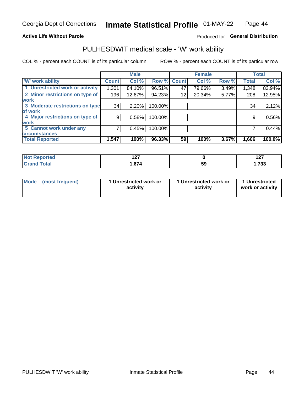#### **Active Life Without Parole**

#### Produced for General Distribution

### PULHESDWIT medical scale - 'W' work ability

COL % - percent each COUNT is of its particular column

|                                 |                    | <b>Male</b> |         |             | <b>Female</b> |       |              | <b>Total</b> |
|---------------------------------|--------------------|-------------|---------|-------------|---------------|-------|--------------|--------------|
| <b>W' work ability</b>          | Count <sup>'</sup> | Col %       |         | Row % Count | Col %         | Row % | <b>Total</b> | Col %        |
| 1 Unrestricted work or activity | 1,301              | 84.10%      | 96.51%  | 47          | 79.66%        | 3.49% | 1,348        | 83.94%       |
| 2 Minor restrictions on type of | 196                | 12.67%      | 94.23%  | 12          | 20.34%        | 5.77% | 208          | 12.95%       |
| <b>work</b>                     |                    |             |         |             |               |       |              |              |
| 3 Moderate restrictions on type | 34                 | 2.20%       | 100.00% |             |               |       | 34           | 2.12%        |
| lof work                        |                    |             |         |             |               |       |              |              |
| 4 Major restrictions on type of | 9                  | 0.58%       | 100.00% |             |               |       | 9            | 0.56%        |
| <b>work</b>                     |                    |             |         |             |               |       |              |              |
| 5 Cannot work under any         |                    | 0.45%       | 100.00% |             |               |       |              | 0.44%        |
| <b>circumstances</b>            |                    |             |         |             |               |       |              |              |
| <b>Total Reported</b>           | 1,547              | 100%        | 96.33%  | 59          | 100%          | 3.67% | 1,606        | 100.0%       |

| Reported     | { ^ ㄱ<br>$\sim$ |    | 407<br>$\sim$ |
|--------------|-----------------|----|---------------|
| <b>Total</b> | 671<br>.000     | 59 | っへへ<br>دد ،,  |

| Mode (most frequent) | 1 Unrestricted work or | 1 Unrestricted work or | 1 Unrestricted   |
|----------------------|------------------------|------------------------|------------------|
|                      | activity               | activity               | work or activity |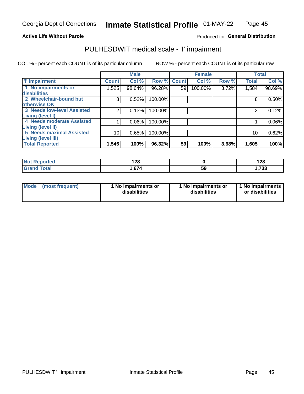#### **Active Life Without Parole**

#### Produced for General Distribution

## PULHESDWIT medical scale - 'I' impairment

COL % - percent each COUNT is of its particular column ROW % - percent each COUNT is of its particular row

|                                   |              | <b>Male</b> |                    |    | <b>Female</b> |       |              | <b>Total</b> |
|-----------------------------------|--------------|-------------|--------------------|----|---------------|-------|--------------|--------------|
| <b>T' Impairment</b>              | <b>Count</b> | Col %       | <b>Row % Count</b> |    | Col %         | Row % | <b>Total</b> | Col %        |
| 1 No impairments or               | .525         | 98.64%      | 96.28%             | 59 | 100.00%       | 3.72% | 1,584        | 98.69%       |
| disabilities                      |              |             |                    |    |               |       |              |              |
| 2 Wheelchair-bound but            | 8            | 0.52%       | 100.00%            |    |               |       | 8            | 0.50%        |
| otherwise OK                      |              |             |                    |    |               |       |              |              |
| <b>3 Needs low-level Assisted</b> | 2            | 0.13%       | 100.00%            |    |               |       |              | 0.12%        |
| Living (level I)                  |              |             |                    |    |               |       |              |              |
| 4 Needs moderate Assisted         |              | 0.06%       | 100.00%            |    |               |       |              | $0.06\%$     |
| Living (level II)                 |              |             |                    |    |               |       |              |              |
| <b>5 Needs maximal Assisted</b>   | 10           | 0.65%       | 100.00%            |    |               |       | 10           | 0.62%        |
| <b>Living (level III)</b>         |              |             |                    |    |               |       |              |              |
| <b>Total Reported</b>             | 1,546        | 100%        | 96.32%             | 59 | 100%          | 3.68% | 1,605        | 100%         |

| orted       | റാ<br>140 |          | 128         |
|-------------|-----------|----------|-------------|
| <b>otal</b> | 674       | БΟ<br>JJ | フつつ<br>,7აა |

| Mode | (most frequent) | 1 No impairments or<br>disabilities | 1 No impairments or<br>disabilities | 11 No impairments<br>or disabilities |
|------|-----------------|-------------------------------------|-------------------------------------|--------------------------------------|
|------|-----------------|-------------------------------------|-------------------------------------|--------------------------------------|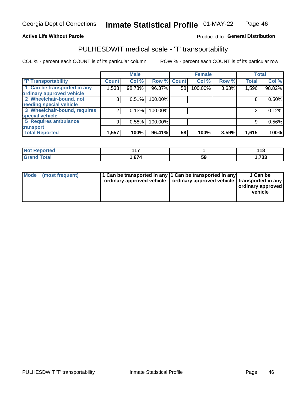#### **Active Life Without Parole**

#### Produced fo General Distribution

## PULHESDWIT medical scale - 'T' transportability

COL % - percent each COUNT is of its particular column

|                              |              | <b>Male</b> |                    |    | <b>Female</b> |       |              | <b>Total</b> |
|------------------------------|--------------|-------------|--------------------|----|---------------|-------|--------------|--------------|
| <b>T' Transportability</b>   | <b>Count</b> | Col %       | <b>Row % Count</b> |    | Col %         | Row % | <b>Total</b> | Col %        |
| 1 Can be transported in any  | 1,538        | 98.78%      | 96.37%             | 58 | 100.00%       | 3.63% | 1,596        | 98.82%       |
| ordinary approved vehicle    |              |             |                    |    |               |       |              |              |
| 2 Wheelchair-bound, not      | 8            | 0.51%       | 100.00%            |    |               |       |              | 0.50%        |
| needing special vehicle      |              |             |                    |    |               |       |              |              |
| 3 Wheelchair-bound, requires |              | 0.13%       | 100.00%            |    |               |       |              | 0.12%        |
| special vehicle              |              |             |                    |    |               |       |              |              |
| 5 Requires ambulance         | 9            | 0.58%       | 100.00%            |    |               |       | 9            | 0.56%        |
| transport                    |              |             |                    |    |               |       |              |              |
| <b>Total Reported</b>        | 1,557        | 100%        | 96.41%             | 58 | 100%          | 3.59% | 1,615        | 100%         |

| orted | $44-$<br>the contract of the contract of |          | 118  |
|-------|------------------------------------------|----------|------|
| `otal | 674                                      | ۰.<br>ჂႸ | ,733 |

| <b>Mode</b> | (most frequent) | 11 Can be transported in any 11 Can be transported in any<br>ordinary approved vehicle   ordinary approved vehicle   transported in any |  | 1 Can be<br>ordinary approved<br>vehicle |
|-------------|-----------------|-----------------------------------------------------------------------------------------------------------------------------------------|--|------------------------------------------|
|-------------|-----------------|-----------------------------------------------------------------------------------------------------------------------------------------|--|------------------------------------------|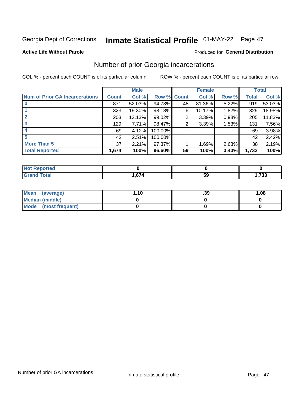## Inmate Statistical Profile 01-MAY-22 Page 47

#### **Active Life Without Parole**

#### **Produced for General Distribution**

### Number of prior Georgia incarcerations

COL % - percent each COUNT is of its particular column

|                                       |       | <b>Male</b> |             |    | <b>Female</b> |       |       | <b>Total</b> |
|---------------------------------------|-------|-------------|-------------|----|---------------|-------|-------|--------------|
| <b>Num of Prior GA Incarcerations</b> | Count | Col %       | Row % Count |    | Col %         | Row % | Total | Col %        |
|                                       | 871   | 52.03%      | 94.78%      | 48 | 81.36%        | 5.22% | 919   | 53.03%       |
|                                       | 323   | 19.30%      | 98.18%      | 6  | 10.17%        | 1.82% | 329   | 18.98%       |
|                                       | 203   | 12.13%      | 99.02%      | 2  | 3.39%         | 0.98% | 205   | 11.83%       |
| 3                                     | 129   | 7.71%       | 98.47%      | 2  | 3.39%         | 1.53% | 131   | 7.56%        |
| 4                                     | 69    | 4.12%       | 100.00%     |    |               |       | 69    | 3.98%        |
| 5                                     | 42    | 2.51%       | 100.00%     |    |               |       | 42    | 2.42%        |
| <b>More Than 5</b>                    | 37    | 2.21%       | 97.37%      |    | 1.69%         | 2.63% | 38    | 2.19%        |
| <b>Total Reported</b>                 | 1,674 | 100%        | 96.60%      | 59 | 100%          | 3.40% | 1,733 | 100%         |

| orted                           |        |    |           |
|---------------------------------|--------|----|-----------|
| <b>otal</b><br>$\mathbf{v}$ and | $\sim$ | 59 | 700<br>ູບ |

| Mean (average)       | 1.10 | .39 | 1.08 |
|----------------------|------|-----|------|
| Median (middle)      |      |     |      |
| Mode (most frequent) |      |     |      |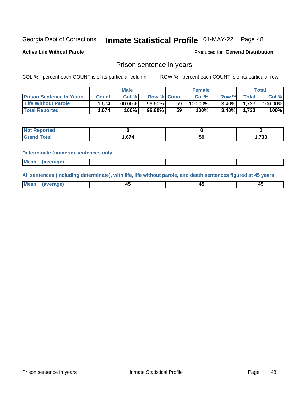## Inmate Statistical Profile 01-MAY-22 Page 48

**Active Life Without Parole** 

**Produced for General Distribution** 

#### Prison sentence in years

COL % - percent each COUNT is of its particular column

ROW % - percent each COUNT is of its particular row

|                                 | <b>Male</b>  |         |                    | <b>Female</b> |            |          | $\mathsf{Total}$ |         |
|---------------------------------|--------------|---------|--------------------|---------------|------------|----------|------------------|---------|
| <b>Prison Sentence In Years</b> | <b>Count</b> | Col %   | <b>Row % Count</b> |               | Col %      | Row %    | Total            | Col %   |
| <b>Life Without Parole</b>      | 1.674        | 100.00% | 96.60%             | 59            | $100.00\%$ | $3.40\%$ | 1,733            | 100.00% |
| <b>Total Reported</b>           | 1.674        | 100%    | $96.60\%$          | 59            | 100%       | $3.40\%$ | 1.733            | 100%    |

| Reported<br><b>NOT</b> P |      |    |              |
|--------------------------|------|----|--------------|
| <b>otal</b>              | .674 | 59 | フつつ<br>. د ، |

#### **Determinate (numeric) sentences only**

| <b>Mean</b><br><i>(average)</i> |  |
|---------------------------------|--|
|---------------------------------|--|

All sentences (including determinate), with life, life without parole, and death sentences figured at 45 years

| l Mea<br>апе<br>. | -⊷ |  |
|-------------------|----|--|
|                   |    |  |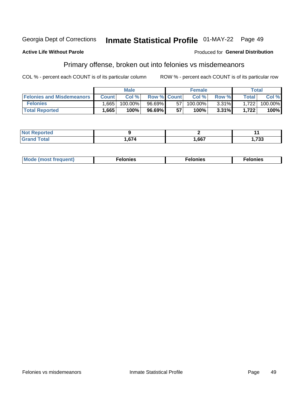#### Georgia Dept of Corrections Inmate Statistical Profile 01-MAY-22 Page 49

#### **Active Life Without Parole**

#### **Produced for General Distribution**

### Primary offense, broken out into felonies vs misdemeanors

COL % - percent each COUNT is of its particular column

|                                  | <b>Male</b>  |         |                    |    | <b>Female</b> |       |       | Total   |  |
|----------------------------------|--------------|---------|--------------------|----|---------------|-------|-------|---------|--|
| <b>Felonies and Misdemeanors</b> | <b>Count</b> | Col%    | <b>Row % Count</b> |    | Col%          | Row % | Total | Col %   |  |
| <b>Felonies</b>                  | .665         | 100.00% | 96.69%             | 57 | $100.00\%$    | 3.31% | 1,722 | 100.00% |  |
| <b>Total Reported</b>            | .665         | $100\%$ | 96.69%             | 57 | $100\%$       | 3.31% | 1,722 | 100%    |  |

| <b>Not Reported</b>         |        |      |               |
|-----------------------------|--------|------|---------------|
| <b>Total</b><br>Gran<br>uuu | 674, ا | ,667 | フクク<br>נכיו ו |

| $Mc$<br>equent)<br>нез<br>$\sim$<br>. | onies<br>. | <b>onies</b><br>. |
|---------------------------------------|------------|-------------------|
|---------------------------------------|------------|-------------------|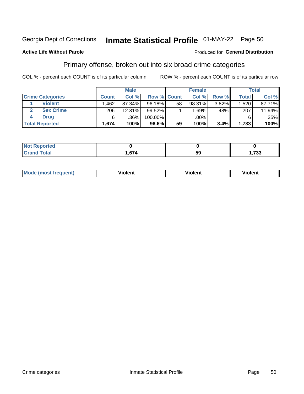#### Inmate Statistical Profile 01-MAY-22 Page 50 Georgia Dept of Corrections

#### **Active Life Without Parole**

#### Produced for General Distribution

### Primary offense, broken out into six broad crime categories

COL % - percent each COUNT is of its particular column

|                         | <b>Male</b>  |        |             |    | <b>Female</b> |       |              | Total  |  |
|-------------------------|--------------|--------|-------------|----|---------------|-------|--------------|--------|--|
| <b>Crime Categories</b> | <b>Count</b> | Col%   | Row % Count |    | Col %         | Row % | <b>Total</b> | Col %  |  |
| <b>Violent</b>          | .462         | 87.34% | 96.18%      | 58 | 98.31%        | 3.82% | 1,520        | 87.71% |  |
| <b>Sex Crime</b>        | 206          | 12.31% | $99.52\%$   |    | 1.69%         | .48%  | 207          | 11.94% |  |
| <b>Drug</b>             | 6            | .36%   | 100.00%     |    | .00%          |       | 6            | .35%   |  |
| <b>Total Reported</b>   | 1,674        | 100%   | $96.6\%$    | 59 | 100%          | 3.4%  | 1,733        | 100%   |  |

| .       |        |    |     |
|---------|--------|----|-----|
| -       | $\sim$ | -- | 700 |
| _______ |        | va | ◡   |

| Mo<br>quenti | .<br>iolent<br>ΊΙ. | --<br>olent | .<br>'ent |
|--------------|--------------------|-------------|-----------|
|              |                    |             |           |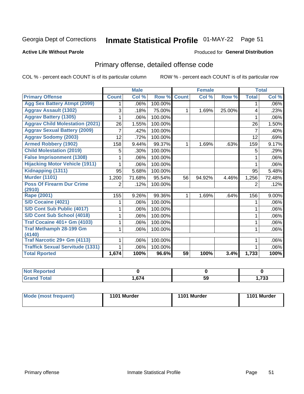## Inmate Statistical Profile 01-MAY-22 Page 51

#### **Active Life Without Parole**

#### **Produced for General Distribution**

## Primary offense, detailed offense code

COL % - percent each COUNT is of its particular column

|                                         |              | <b>Male</b>                |         |              | <b>Female</b>             |        |              | <b>Total</b> |
|-----------------------------------------|--------------|----------------------------|---------|--------------|---------------------------|--------|--------------|--------------|
| <b>Primary Offense</b>                  | <b>Count</b> | $\overline{\text{Col }^9}$ | Row %   | <b>Count</b> | $\overline{\text{Col}}$ % | Row %  | <b>Total</b> | Col %        |
| <b>Agg Sex Battery Atmpt (2099)</b>     |              | .06%                       | 100.00% |              |                           |        | 1            | .06%         |
| <b>Aggrav Assault (1302)</b>            | 3            | .18%                       | 75.00%  | 1            | 1.69%                     | 25.00% | 4            | .23%         |
| <b>Aggrav Battery (1305)</b>            |              | .06%                       | 100.00% |              |                           |        |              | .06%         |
| <b>Aggrav Child Molestation (2021)</b>  | 26           | 1.55%                      | 100.00% |              |                           |        | 26           | 1.50%        |
| <b>Aggrav Sexual Battery (2009)</b>     | 7            | .42%                       | 100.00% |              |                           |        | 7            | .40%         |
| <b>Aggrav Sodomy (2003)</b>             | 12           | .72%                       | 100.00% |              |                           |        | 12           | .69%         |
| <b>Armed Robbery (1902)</b>             | 158          | 9.44%                      | 99.37%  | 1            | 1.69%                     | .63%   | 159          | 9.17%        |
| <b>Child Molestation (2019)</b>         | 5            | .30%                       | 100.00% |              |                           |        | 5            | .29%         |
| <b>False Imprisonment (1308)</b>        |              | .06%                       | 100.00% |              |                           |        | 1            | .06%         |
| <b>Hijacking Motor Vehicle (1911)</b>   |              | .06%                       | 100.00% |              |                           |        |              | .06%         |
| Kidnapping (1311)                       | 95           | 5.68%                      | 100.00% |              |                           |        | 95           | 5.48%        |
| <b>Murder (1101)</b>                    | 1,200        | 71.68%                     | 95.54%  | 56           | 94.92%                    | 4.46%  | 1,256        | 72.48%       |
| <b>Poss Of Firearm Dur Crime</b>        | 2            | .12%                       | 100.00% |              |                           |        | 2            | .12%         |
| (2910)                                  |              |                            |         |              |                           |        |              |              |
| Rape (2001)                             | 155          | 9.26%                      | 99.36%  | 1            | 1.69%                     | .64%   | 156          | 9.00%        |
| S/D Cocaine (4021)                      |              | .06%                       | 100.00% |              |                           |        |              | .06%         |
| S/D Cont Sub Public (4017)              |              | .06%                       | 100.00% |              |                           |        |              | .06%         |
| S/D Cont Sub School (4018)              |              | .06%                       | 100.00% |              |                           |        | 1            | .06%         |
| <b>Traf Cocaine 401+ Gm (4103)</b>      |              | .06%                       | 100.00% |              |                           |        | 1            | .06%         |
| <b>Traf Methamph 28-199 Gm</b>          |              | .06%                       | 100.00% |              |                           |        | 1            | .06%         |
| (4140)                                  |              |                            |         |              |                           |        |              |              |
| Traf Narcotic 29+ Gm (4113)             |              | .06%                       | 100.00% |              |                           |        |              | .06%         |
| <b>Traffick Sexual Servitude (1331)</b> |              | .06%                       | 100.00% |              |                           |        |              | .06%         |
| <b>Total Rported</b>                    | 1,674        | 100%                       | 96.6%   | 59           | 100%                      | 3.4%   | 1,733        | 100%         |

| <b>Noi</b><br><b>orted</b> |              |    |                |
|----------------------------|--------------|----|----------------|
| <b>Total</b>               | .071<br>דוטו | 59 | フクク<br>נכיו, ו |

| Mode (most frequent) | 1101 Murder | 1101 Murder | 1101 Murder |
|----------------------|-------------|-------------|-------------|
|----------------------|-------------|-------------|-------------|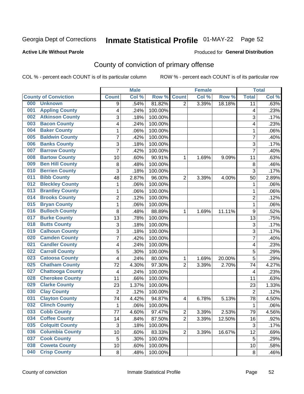## Inmate Statistical Profile 01-MAY-22 Page 52

#### **Active Life Without Parole**

#### Produced for General Distribution

## County of conviction of primary offense

COL % - percent each COUNT is of its particular column

|                                |                | <b>Male</b> |         |                | <b>Female</b> |        |                | <b>Total</b> |
|--------------------------------|----------------|-------------|---------|----------------|---------------|--------|----------------|--------------|
| <b>County of Conviction</b>    | <b>Count</b>   | Col %       | Row %   | <b>Count</b>   | Col %         | Row %  | <b>Total</b>   | Col %        |
| 000<br><b>Unknown</b>          | 9              | .54%        | 81.82%  | $\overline{2}$ | 3.39%         | 18.18% | 11             | .63%         |
| <b>Appling County</b><br>001   | 4              | .24%        | 100.00% |                |               |        | 4              | .23%         |
| <b>Atkinson County</b><br>002  | 3              | .18%        | 100.00% |                |               |        | 3              | .17%         |
| <b>Bacon County</b><br>003     | 4              | .24%        | 100.00% |                |               |        | 4              | .23%         |
| <b>Baker County</b><br>004     | $\mathbf{1}$   | .06%        | 100.00% |                |               |        | 1              | .06%         |
| <b>Baldwin County</b><br>005   | 7              | .42%        | 100.00% |                |               |        | $\overline{7}$ | .40%         |
| <b>Banks County</b><br>006     | 3              | .18%        | 100.00% |                |               |        | 3              | .17%         |
| <b>Barrow County</b><br>007    | $\overline{7}$ | .42%        | 100.00% |                |               |        | $\overline{7}$ | .40%         |
| <b>Bartow County</b><br>008    | 10             | .60%        | 90.91%  | 1              | 1.69%         | 9.09%  | 11             | .63%         |
| <b>Ben Hill County</b><br>009  | 8              | .48%        | 100.00% |                |               |        | 8              | .46%         |
| <b>Berrien County</b><br>010   | 3              | .18%        | 100.00% |                |               |        | 3              | .17%         |
| <b>Bibb County</b><br>011      | 48             | 2.87%       | 96.00%  | $\overline{2}$ | 3.39%         | 4.00%  | 50             | 2.89%        |
| <b>Bleckley County</b><br>012  | 1              | .06%        | 100.00% |                |               |        | 1              | .06%         |
| <b>Brantley County</b><br>013  | $\mathbf{1}$   | .06%        | 100.00% |                |               |        | 1              | .06%         |
| <b>Brooks County</b><br>014    | $\overline{2}$ | .12%        | 100.00% |                |               |        | $\overline{2}$ | .12%         |
| <b>Bryan County</b><br>015     | $\mathbf{1}$   | .06%        | 100.00% |                |               |        | $\mathbf{1}$   | .06%         |
| <b>Bulloch County</b><br>016   | 8              | .48%        | 88.89%  | 1              | 1.69%         | 11.11% | 9              | .52%         |
| <b>Burke County</b><br>017     | 13             | .78%        | 100.00% |                |               |        | 13             | .75%         |
| <b>Butts County</b><br>018     | 3              | .18%        | 100.00% |                |               |        | 3              | .17%         |
| <b>Calhoun County</b><br>019   | $\overline{3}$ | .18%        | 100.00% |                |               |        | $\overline{3}$ | .17%         |
| <b>Camden County</b><br>020    | 7              | .42%        | 100.00% |                |               |        | 7              | .40%         |
| <b>Candler County</b><br>021   | 4              | .24%        | 100.00% |                |               |        | 4              | .23%         |
| <b>Carroll County</b><br>022   | 5              | .30%        | 100.00% |                |               |        | 5              | .29%         |
| <b>Catoosa County</b><br>023   | 4              | .24%        | 80.00%  | 1              | 1.69%         | 20.00% | 5              | .29%         |
| <b>Chatham County</b><br>025   | 72             | 4.30%       | 97.30%  | $\overline{2}$ | 3.39%         | 2.70%  | 74             | 4.27%        |
| <b>Chattooga County</b><br>027 | 4              | .24%        | 100.00% |                |               |        | 4              | .23%         |
| <b>Cherokee County</b><br>028  | 11             | .66%        | 100.00% |                |               |        | 11             | .63%         |
| <b>Clarke County</b><br>029    | 23             | 1.37%       | 100.00% |                |               |        | 23             | 1.33%        |
| <b>Clay County</b><br>030      | $\overline{2}$ | .12%        | 100.00% |                |               |        | $\overline{2}$ | .12%         |
| <b>Clayton County</b><br>031   | 74             | 4.42%       | 94.87%  | 4              | 6.78%         | 5.13%  | 78             | 4.50%        |
| <b>Clinch County</b><br>032    | 1              | .06%        | 100.00% |                |               |        | 1              | .06%         |
| <b>Cobb County</b><br>033      | 77             | 4.60%       | 97.47%  | 2              | 3.39%         | 2.53%  | 79             | 4.56%        |
| <b>Coffee County</b><br>034    | 14             | .84%        | 87.50%  | $\overline{2}$ | 3.39%         | 12.50% | 16             | .92%         |
| 035<br><b>Colquitt County</b>  | $\sqrt{3}$     | .18%        | 100.00% |                |               |        | $\sqrt{3}$     | .17%         |
| <b>Columbia County</b><br>036  | 10             | .60%        | 83.33%  | $\overline{2}$ | 3.39%         | 16.67% | 12             | .69%         |
| <b>Cook County</b><br>037      | 5              | .30%        | 100.00% |                |               |        | 5              | .29%         |
| <b>Coweta County</b><br>038    | 10             | .60%        | 100.00% |                |               |        | 10             | .58%         |
| <b>Crisp County</b><br>040     | 8              | .48%        | 100.00% |                |               |        | 8              | .46%         |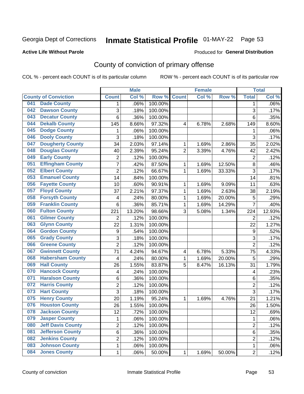## Inmate Statistical Profile 01-MAY-22 Page 53

#### **Active Life Without Parole**

#### Produced for General Distribution

## County of conviction of primary offense

COL % - percent each COUNT is of its particular column

|     |                             |                  | <b>Male</b> |         |                | <b>Female</b> |        |                  | <b>Total</b> |
|-----|-----------------------------|------------------|-------------|---------|----------------|---------------|--------|------------------|--------------|
|     | <b>County of Conviction</b> | <b>Count</b>     | Col %       | Row %   | <b>Count</b>   | Col%          | Row %  | <b>Total</b>     | Col %        |
| 041 | <b>Dade County</b>          | 1                | .06%        | 100.00% |                |               |        | 1                | .06%         |
| 042 | <b>Dawson County</b>        | 3                | .18%        | 100.00% |                |               |        | 3                | .17%         |
| 043 | <b>Decatur County</b>       | 6                | .36%        | 100.00% |                |               |        | 6                | .35%         |
| 044 | <b>Dekalb County</b>        | 145              | 8.66%       | 97.32%  | 4              | 6.78%         | 2.68%  | 149              | 8.60%        |
| 045 | <b>Dodge County</b>         | 1                | .06%        | 100.00% |                |               |        | 1                | .06%         |
| 046 | <b>Dooly County</b>         | 3                | .18%        | 100.00% |                |               |        | $\overline{3}$   | .17%         |
| 047 | <b>Dougherty County</b>     | 34               | 2.03%       | 97.14%  | 1              | 1.69%         | 2.86%  | 35               | 2.02%        |
| 048 | <b>Douglas County</b>       | 40               | 2.39%       | 95.24%  | $\overline{2}$ | 3.39%         | 4.76%  | 42               | 2.42%        |
| 049 | <b>Early County</b>         | $\overline{2}$   | .12%        | 100.00% |                |               |        | $\overline{2}$   | .12%         |
| 051 | <b>Effingham County</b>     | 7                | .42%        | 87.50%  | 1              | 1.69%         | 12.50% | 8                | .46%         |
| 052 | <b>Elbert County</b>        | $\overline{c}$   | .12%        | 66.67%  | 1              | 1.69%         | 33.33% | 3                | .17%         |
| 053 | <b>Emanuel County</b>       | 14               | .84%        | 100.00% |                |               |        | 14               | .81%         |
| 056 | <b>Fayette County</b>       | 10               | .60%        | 90.91%  | 1              | 1.69%         | 9.09%  | 11               | .63%         |
| 057 | <b>Floyd County</b>         | 37               | 2.21%       | 97.37%  | 1              | 1.69%         | 2.63%  | 38               | 2.19%        |
| 058 | <b>Forsyth County</b>       | 4                | .24%        | 80.00%  | 1              | 1.69%         | 20.00% | 5                | .29%         |
| 059 | <b>Franklin County</b>      | 6                | .36%        | 85.71%  | 1              | 1.69%         | 14.29% | $\overline{7}$   | .40%         |
| 060 | <b>Fulton County</b>        | 221              | 13.20%      | 98.66%  | 3              | 5.08%         | 1.34%  | 224              | 12.93%       |
| 061 | <b>Gilmer County</b>        | $\overline{2}$   | .12%        | 100.00% |                |               |        | $\overline{2}$   | .12%         |
| 063 | <b>Glynn County</b>         | 22               | 1.31%       | 100.00% |                |               |        | 22               | 1.27%        |
| 064 | <b>Gordon County</b>        | $\boldsymbol{9}$ | .54%        | 100.00% |                |               |        | $\boldsymbol{9}$ | .52%         |
| 065 | <b>Grady County</b>         | 3                | .18%        | 100.00% |                |               |        | 3                | .17%         |
| 066 | <b>Greene County</b>        | $\overline{2}$   | .12%        | 100.00% |                |               |        | $\overline{2}$   | .12%         |
| 067 | <b>Gwinnett County</b>      | 71               | 4.24%       | 94.67%  | 4              | 6.78%         | 5.33%  | 75               | 4.33%        |
| 068 | <b>Habersham County</b>     | 4                | .24%        | 80.00%  | 1              | 1.69%         | 20.00% | 5                | .29%         |
| 069 | <b>Hall County</b>          | 26               | 1.55%       | 83.87%  | 5              | 8.47%         | 16.13% | 31               | 1.79%        |
| 070 | <b>Hancock County</b>       | 4                | .24%        | 100.00% |                |               |        | 4                | .23%         |
| 071 | <b>Haralson County</b>      | 6                | .36%        | 100.00% |                |               |        | 6                | .35%         |
| 072 | <b>Harris County</b>        | $\overline{c}$   | .12%        | 100.00% |                |               |        | $\overline{c}$   | .12%         |
| 073 | <b>Hart County</b>          | 3                | .18%        | 100.00% |                |               |        | 3                | .17%         |
| 075 | <b>Henry County</b>         | 20               | 1.19%       | 95.24%  | 1              | 1.69%         | 4.76%  | 21               | 1.21%        |
| 076 | <b>Houston County</b>       | 26               | 1.55%       | 100.00% |                |               |        | 26               | 1.50%        |
| 078 | <b>Jackson County</b>       | 12               | .72%        | 100.00% |                |               |        | 12               | .69%         |
| 079 | <b>Jasper County</b>        | $\mathbf{1}$     | .06%        | 100.00% |                |               |        | $\mathbf{1}$     | .06%         |
| 080 | <b>Jeff Davis County</b>    | $\overline{2}$   | .12%        | 100.00% |                |               |        | $\overline{2}$   | .12%         |
| 081 | <b>Jefferson County</b>     | 6                | .36%        | 100.00% |                |               |        | 6                | .35%         |
| 082 | <b>Jenkins County</b>       | $\overline{2}$   | .12%        | 100.00% |                |               |        | $\overline{2}$   | .12%         |
| 083 | <b>Johnson County</b>       | $\mathbf 1$      | .06%        | 100.00% |                |               |        | $\mathbf 1$      | .06%         |
| 084 | <b>Jones County</b>         | $\mathbf 1$      | .06%        | 50.00%  | 1              | 1.69%         | 50.00% | $\overline{2}$   | .12%         |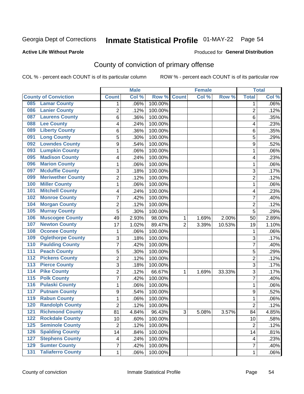## Inmate Statistical Profile 01-MAY-22 Page 54

#### **Active Life Without Parole**

#### **Produced for General Distribution**

## County of conviction of primary offense

COL % - percent each COUNT is of its particular column

|                                              |                         | <b>Male</b> |         |                | <b>Female</b> |        |                | <b>Total</b> |
|----------------------------------------------|-------------------------|-------------|---------|----------------|---------------|--------|----------------|--------------|
| <b>County of Conviction</b>                  | <b>Count</b>            | Col %       | Row %   | <b>Count</b>   | Col %         | Row %  | <b>Total</b>   | Col %        |
| <b>Lamar County</b><br>085                   | 1                       | .06%        | 100.00% |                |               |        | 1              | $.06\%$      |
| <b>Lanier County</b><br>086                  | $\overline{2}$          | .12%        | 100.00% |                |               |        | $\overline{2}$ | .12%         |
| <b>Laurens County</b><br>087                 | 6                       | .36%        | 100.00% |                |               |        | 6              | .35%         |
| <b>Lee County</b><br>088                     | 4                       | .24%        | 100.00% |                |               |        | 4              | .23%         |
| <b>Liberty County</b><br>089                 | 6                       | .36%        | 100.00% |                |               |        | 6              | .35%         |
| <b>Long County</b><br>091                    | 5                       | .30%        | 100.00% |                |               |        | 5              | .29%         |
| <b>Lowndes County</b><br>092                 | 9                       | .54%        | 100.00% |                |               |        | 9              | .52%         |
| <b>Lumpkin County</b><br>093                 | 1                       | .06%        | 100.00% |                |               |        | $\mathbf{1}$   | .06%         |
| <b>Madison County</b><br>095                 | 4                       | .24%        | 100.00% |                |               |        | 4              | .23%         |
| <b>Marion County</b><br>096                  | 1                       | .06%        | 100.00% |                |               |        | $\mathbf{1}$   | .06%         |
| <b>Mcduffie County</b><br>097                | 3                       | .18%        | 100.00% |                |               |        | 3              | .17%         |
| <b>Meriwether County</b><br>099              | $\overline{2}$          | .12%        | 100.00% |                |               |        | $\overline{2}$ | .12%         |
| <b>Miller County</b><br>100                  | 1                       | .06%        | 100.00% |                |               |        | $\mathbf{1}$   | .06%         |
| <b>Mitchell County</b><br>101                | 4                       | .24%        | 100.00% |                |               |        | 4              | .23%         |
| <b>Monroe County</b><br>102                  | 7                       | .42%        | 100.00% |                |               |        | $\overline{7}$ | .40%         |
| <b>Morgan County</b><br>104                  | $\overline{2}$          | .12%        | 100.00% |                |               |        | $\overline{2}$ | .12%         |
| <b>Murray County</b><br>105                  | 5                       | .30%        | 100.00% |                |               |        | 5              | .29%         |
| <b>Muscogee County</b><br>106                | 49                      | 2.93%       | 98.00%  | 1              | 1.69%         | 2.00%  | 50             | 2.89%        |
| <b>Newton County</b><br>107                  | 17                      | 1.02%       | 89.47%  | $\overline{2}$ | 3.39%         | 10.53% | 19             | 1.10%        |
| <b>Oconee County</b><br>108                  | 1                       | .06%        | 100.00% |                |               |        | 1              | .06%         |
| <b>Oglethorpe County</b><br>109              | 3                       | .18%        | 100.00% |                |               |        | 3              | .17%         |
| <b>Paulding County</b><br>110                | 7                       | .42%        | 100.00% |                |               |        | $\overline{7}$ | .40%         |
| <b>Peach County</b><br>111                   | 5                       | .30%        | 100.00% |                |               |        | 5              | .29%         |
| <b>Pickens County</b><br>$\overline{112}$    | $\overline{2}$          | .12%        | 100.00% |                |               |        | $\overline{2}$ | .12%         |
| <b>Pierce County</b><br>113                  | 3                       | .18%        | 100.00% |                |               |        | 3              | .17%         |
| <b>Pike County</b><br>$\overline{114}$       | $\overline{2}$          | .12%        | 66.67%  | 1              | 1.69%         | 33.33% | 3              | .17%         |
| <b>Polk County</b><br>$\overline{115}$       | 7                       | .42%        | 100.00% |                |               |        | $\overline{7}$ | .40%         |
| <b>Pulaski County</b><br>116                 | 1                       | .06%        | 100.00% |                |               |        | 1              | .06%         |
| <b>Putnam County</b><br>117                  | 9                       | .54%        | 100.00% |                |               |        | 9              | .52%         |
| <b>Rabun County</b><br>119                   | 1                       | .06%        | 100.00% |                |               |        | $\mathbf{1}$   | .06%         |
| <b>Randolph County</b><br>120                | $\overline{2}$          | .12%        | 100.00% |                |               |        | $\overline{2}$ | .12%         |
| <b>Richmond County</b><br>121                | 81                      | 4.84%       | 96.43%  | 3              | 5.08%         | 3.57%  | 84             | 4.85%        |
| <b>Rockdale County</b><br>122                | 10                      | .60%        | 100.00% |                |               |        | 10             | .58%         |
| <b>Seminole County</b><br>$125$              | $\overline{2}$          | .12%        | 100.00% |                |               |        | $\overline{2}$ | .12%         |
| <b>Spalding County</b><br>126                | 14                      | .84%        | 100.00% |                |               |        | 14             | .81%         |
| <b>Stephens County</b><br>127                | $\overline{\mathbf{4}}$ | .24%        | 100.00% |                |               |        | 4              | .23%         |
| <b>Sumter County</b><br>129                  | 7                       | .42%        | 100.00% |                |               |        | $\overline{7}$ | .40%         |
| <b>Taliaferro County</b><br>$\overline{131}$ | $\mathbf{1}$            | .06%        | 100.00% |                |               |        | $\mathbf 1$    | .06%         |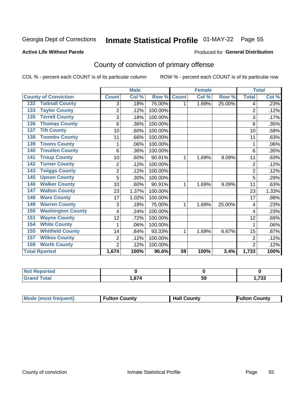## Inmate Statistical Profile 01-MAY-22 Page 55

#### **Active Life Without Parole**

#### **Produced for General Distribution**

## County of conviction of primary offense

COL % - percent each COUNT is of its particular column

|                                 |                | <b>Male</b> |         |                 | <b>Female</b>             |        |                | <b>Total</b> |
|---------------------------------|----------------|-------------|---------|-----------------|---------------------------|--------|----------------|--------------|
| <b>County of Conviction</b>     | <b>Count</b>   | Col %       | Row %   | <b>Count</b>    | $\overline{\text{Col}}$ % | Row %  | <b>Total</b>   | Col %        |
| <b>Tattnall County</b><br>132   | 3              | .18%        | 75.00%  | 1               | 1.69%                     | 25.00% | 4              | .23%         |
| <b>Taylor County</b><br>133     | $\overline{2}$ | .12%        | 100.00% |                 |                           |        | $\overline{2}$ | .12%         |
| <b>Terrell County</b><br>135    | 3              | .18%        | 100.00% |                 |                           |        | 3              | .17%         |
| <b>Thomas County</b><br>136     | 6              | .36%        | 100.00% |                 |                           |        | 6              | .35%         |
| <b>Tift County</b><br>137       | 10             | .60%        | 100.00% |                 |                           |        | 10             | .58%         |
| <b>Toombs County</b><br>138     | 11             | .66%        | 100.00% |                 |                           |        | 11             | .63%         |
| <b>Towns County</b><br>139      | 1              | .06%        | 100.00% |                 |                           |        | 1              | .06%         |
| <b>Treutlen County</b><br>140   | 6              | .36%        | 100.00% |                 |                           |        | 6              | .35%         |
| <b>Troup County</b><br>141      | 10             | .60%        | 90.91%  | 1               | 1.69%                     | 9.09%  | 11             | .63%         |
| <b>Turner County</b><br>142     | $\overline{2}$ | .12%        | 100.00% |                 |                           |        | $\overline{2}$ | .12%         |
| <b>Twiggs County</b><br>143     | $\overline{2}$ | .12%        | 100.00% |                 |                           |        | $\overline{2}$ | .12%         |
| <b>Upson County</b><br>145      | 5              | .30%        | 100.00% |                 |                           |        | 5              | .29%         |
| <b>Walker County</b><br>146     | 10             | .60%        | 90.91%  | 1               | 1.69%                     | 9.09%  | 11             | .63%         |
| <b>Walton County</b><br>147     | 23             | 1.37%       | 100.00% |                 |                           |        | 23             | 1.33%        |
| <b>Ware County</b><br>148       | 17             | 1.02%       | 100.00% |                 |                           |        | 17             | .98%         |
| <b>Warren County</b><br>149     | 3              | .18%        | 75.00%  | 1               | 1.69%                     | 25.00% | 4              | .23%         |
| <b>Washington County</b><br>150 | 4              | .24%        | 100.00% |                 |                           |        | 4              | .23%         |
| <b>Wayne County</b><br>151      | 12             | .72%        | 100.00% |                 |                           |        | 12             | .69%         |
| <b>White County</b><br>154      |                | .06%        | 100.00% |                 |                           |        |                | .06%         |
| <b>Whitfield County</b><br>155  | 14             | .84%        | 93.33%  | 1               | 1.69%                     | 6.67%  | 15             | .87%         |
| <b>Wilkes County</b><br>157     | 2              | .12%        | 100.00% |                 |                           |        | $\overline{2}$ | .12%         |
| <b>Worth County</b><br>159      | $\overline{2}$ | .12%        | 100.00% |                 |                           |        | $\overline{2}$ | .12%         |
| <b>Total Rported</b>            | 1,674          | 100%        | 96.6%   | $\overline{59}$ | 100%                      | 3.4%   | 1,733          | 100%         |

| Reported<br>NOT<br>. <b>.</b> . |             |     |              |
|---------------------------------|-------------|-----|--------------|
| Utal                            | c7<br>∣.o74 | -59 | フへへ<br>ככ ו, |

|  | <b>Mode (most frequent)</b> | <b>Fulton County</b> | <b>Hall County</b> | <b>Fulton County</b> |
|--|-----------------------------|----------------------|--------------------|----------------------|
|--|-----------------------------|----------------------|--------------------|----------------------|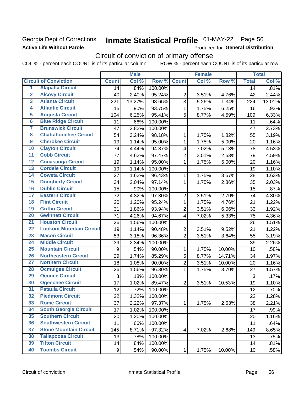### **Georgia Dept of Corrections Active Life Without Parole**

## Inmate Statistical Profile 01-MAY-22 Page 56

Produced for General Distribution

## Circuit of conviction of primary offense

COL % - percent each COUNT is of its particular column ROW % - percent each COUNT is of its particular row

|                         |                                 | <b>Male</b><br><b>Female</b> |        |                  | <b>Total</b>            |       |        |              |        |
|-------------------------|---------------------------------|------------------------------|--------|------------------|-------------------------|-------|--------|--------------|--------|
|                         | <b>Circuit of Conviction</b>    | <b>Count</b>                 | Col %  | Row <sup>%</sup> | <b>Count</b>            | Col % | Row %  | <b>Total</b> | Col %  |
| 1                       | <b>Alapaha Circuit</b>          | 14                           | .84%   | 100.00%          |                         |       |        | 14           | .81%   |
| $\overline{2}$          | <b>Alcovy Circuit</b>           | 40                           | 2.40%  | 95.24%           | $\overline{2}$          | 3.51% | 4.76%  | 42           | 2.44%  |
| $\overline{\mathbf{3}}$ | <b>Atlanta Circuit</b>          | 221                          | 13.27% | 98.66%           | 3                       | 5.26% | 1.34%  | 224          | 13.01% |
| $\overline{4}$          | <b>Atlantic Circuit</b>         | 15                           | .90%   | 93.75%           | 1                       | 1.75% | 6.25%  | 16           | .93%   |
| 5                       | <b>Augusta Circuit</b>          | 104                          | 6.25%  | 95.41%           | 5                       | 8.77% | 4.59%  | 109          | 6.33%  |
| $\overline{\bf{6}}$     | <b>Blue Ridge Circuit</b>       | 11                           | .66%   | 100.00%          |                         |       |        | 11           | .64%   |
| 7                       | <b>Brunswick Circuit</b>        | 47                           | 2.82%  | 100.00%          |                         |       |        | 47           | 2.73%  |
| $\overline{\mathbf{8}}$ | <b>Chattahoochee Circuit</b>    | 54                           | 3.24%  | 98.18%           | 1                       | 1.75% | 1.82%  | 55           | 3.19%  |
| $\overline{9}$          | <b>Cherokee Circuit</b>         | 19                           | 1.14%  | 95.00%           | 1                       | 1.75% | 5.00%  | 20           | 1.16%  |
| 10                      | <b>Clayton Circuit</b>          | 74                           | 4.44%  | 94.87%           | 4                       | 7.02% | 5.13%  | 78           | 4.53%  |
| $\overline{11}$         | <b>Cobb Circuit</b>             | 77                           | 4.62%  | 97.47%           | $\overline{2}$          | 3.51% | 2.53%  | 79           | 4.59%  |
| $\overline{12}$         | <b>Conasauga Circuit</b>        | 19                           | 1.14%  | 95.00%           | 1                       | 1.75% | 5.00%  | 20           | 1.16%  |
| 13                      | <b>Cordele Circuit</b>          | 19                           | 1.14%  | 100.00%          |                         |       |        | 19           | 1.10%  |
| 14                      | <b>Coweta Circuit</b>           | 27                           | 1.62%  | 96.43%           | 1                       | 1.75% | 3.57%  | 28           | 1.63%  |
| 15                      | <b>Dougherty Circuit</b>        | 34                           | 2.04%  | 97.14%           | $\mathbf{1}$            | 1.75% | 2.86%  | 35           | 2.03%  |
| 16                      | <b>Dublin Circuit</b>           | 15                           | .90%   | 100.00%          |                         |       |        | 15           | .87%   |
| 17                      | <b>Eastern Circuit</b>          | 72                           | 4.32%  | 97.30%           | $\overline{2}$          | 3.51% | 2.70%  | 74           | 4.30%  |
| $\overline{18}$         | <b>Flint Circuit</b>            | 20                           | 1.20%  | 95.24%           | 1                       | 1.75% | 4.76%  | 21           | 1.22%  |
| 19                      | <b>Griffin Circuit</b>          | 31                           | 1.86%  | 93.94%           | $\mathbf 2$             | 3.51% | 6.06%  | 33           | 1.92%  |
| $\overline{20}$         | <b>Gwinnett Circuit</b>         | 71                           | 4.26%  | 94.67%           | 4                       | 7.02% | 5.33%  | 75           | 4.36%  |
| $\overline{21}$         | <b>Houston Circuit</b>          | 26                           | 1.56%  | 100.00%          |                         |       |        | 26           | 1.51%  |
| $\overline{22}$         | <b>Lookout Mountain Circuit</b> | 19                           | 1.14%  | 90.48%           | $\overline{2}$          | 3.51% | 9.52%  | 21           | 1.22%  |
| 23                      | <b>Macon Circuit</b>            | 53                           | 3.18%  | 96.36%           | $\overline{2}$          | 3.51% | 3.64%  | 55           | 3.19%  |
| $\overline{24}$         | <b>Middle Circuit</b>           | 39                           | 2.34%  | 100.00%          |                         |       |        | 39           | 2.26%  |
| $\overline{25}$         | <b>Mountain Circuit</b>         | 9                            | .54%   | 90.00%           | $\mathbf{1}$            | 1.75% | 10.00% | 10           | .58%   |
| 26                      | <b>Northeastern Circuit</b>     | 29                           | 1.74%  | 85.29%           | $\overline{5}$          | 8.77% | 14.71% | 34           | 1.97%  |
| $\overline{27}$         | <b>Northern Circuit</b>         | 18                           | 1.08%  | 90.00%           | $\overline{2}$          | 3.51% | 10.00% | 20           | 1.16%  |
| 28                      | <b>Ocmulgee Circuit</b>         | 26                           | 1.56%  | 96.30%           | 1                       | 1.75% | 3.70%  | 27           | 1.57%  |
| 29                      | <b>Oconee Circuit</b>           | 3                            | .18%   | 100.00%          |                         |       |        | 3            | .17%   |
| 30                      | <b>Ogeechee Circuit</b>         | 17                           | 1.02%  | 89.47%           | $\overline{2}$          | 3.51% | 10.53% | 19           | 1.10%  |
| $\overline{31}$         | <b>Pataula Circuit</b>          | 12                           | .72%   | 100.00%          |                         |       |        | 12           | .70%   |
| 32                      | <b>Piedmont Circuit</b>         | 22                           | 1.32%  | 100.00%          |                         |       |        | 22           | 1.28%  |
| 33                      | <b>Rome Circuit</b>             | 37                           | 2.22%  | 97.37%           | $\mathbf{1}$            | 1.75% | 2.63%  | 38           | 2.21%  |
| 34                      | <b>South Georgia Circuit</b>    | 17                           | 1.02%  | 100.00%          |                         |       |        | 17           | .99%   |
| 35                      | <b>Southern Circuit</b>         | 20                           | 1.20%  | 100.00%          |                         |       |        | 20           | 1.16%  |
| 36                      | <b>Southwestern Circuit</b>     | 11                           | .66%   | 100.00%          |                         |       |        | 11           | .64%   |
| 37                      | <b>Stone Mountain Circuit</b>   | 145                          | 8.71%  | 97.32%           | $\overline{\mathbf{4}}$ | 7.02% | 2.68%  | 149          | 8.65%  |
| 38                      | <b>Tallapoosa Circuit</b>       | 13                           | .78%   | 100.00%          |                         |       |        | 13           | .75%   |
| 39                      | <b>Tifton Circuit</b>           | 14                           | .84%   | 100.00%          |                         |       |        | 14           | .81%   |
| 40                      | <b>Toombs Circuit</b>           | 9                            | .54%   | 90.00%           | $\mathbf{1}$            | 1.75% | 10.00% | 10           | .58%   |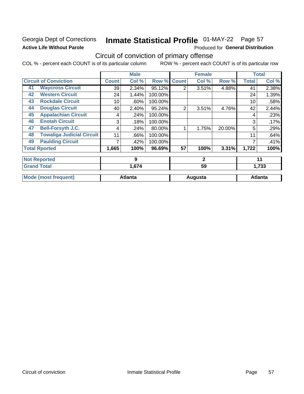### **Georgia Dept of Corrections Active Life Without Parole**

## Inmate Statistical Profile 01-MAY-22 Page 57

Produced for General Distribution

## Circuit of conviction of primary offense

COL % - percent each COUNT is of its particular column ROW % - percent each COUNT is of its particular row

|    |                                  |              | <b>Male</b>    |         |              | <b>Female</b> |        |              | <b>Total</b>   |
|----|----------------------------------|--------------|----------------|---------|--------------|---------------|--------|--------------|----------------|
|    | <b>Circuit of Conviction</b>     | <b>Count</b> | Col %          | Row %   | <b>Count</b> | Col %         | Row %  | <b>Total</b> | Col%           |
| 41 | <b>Waycross Circuit</b>          | 39           | 2.34%          | 95.12%  | 2            | 3.51%         | 4.88%  | 41           | 2.38%          |
| 42 | <b>Western Circuit</b>           | 24           | 1.44%          | 100.00% |              |               |        | 24           | 1.39%          |
| 43 | <b>Rockdale Circuit</b>          | 10           | .60%           | 100.00% |              |               |        | 10           | .58%           |
| 44 | <b>Douglas Circuit</b>           | 40           | 2.40%          | 95.24%  | 2            | 3.51%         | 4.76%  | 42           | 2.44%          |
| 45 | <b>Appalachian Circuit</b>       | 4            | .24%           | 100.00% |              |               |        | 4            | .23%           |
| 46 | <b>Enotah Circuit</b>            | 3            | .18%           | 100.00% |              |               |        | 3            | .17%           |
| 47 | <b>Bell-Forsyth J.C.</b>         | 4            | .24%           | 80.00%  |              | 1.75%         | 20.00% | 5            | .29%           |
| 48 | <b>Towaliga Judicial Circuit</b> | 11           | .66%           | 100.00% |              |               |        | 11           | .64%           |
| 49 | <b>Paulding Circuit</b>          |              | .42%           | 100.00% |              |               |        |              | .41%           |
|    | <b>Total Rported</b>             | 1,665        | 100%           | 96.69%  | 57           | 100%          | 3.31%  | 1,722        | 100%           |
|    | <b>Not Reported</b>              |              | 9              |         |              | $\mathbf{2}$  |        |              | 11             |
|    | <b>Grand Total</b>               |              | 1,674          |         |              | 59            |        |              | 1,733          |
|    | <b>Mode (most frequent)</b>      |              | <b>Atlanta</b> |         |              | Augusta       |        |              | <b>Atlanta</b> |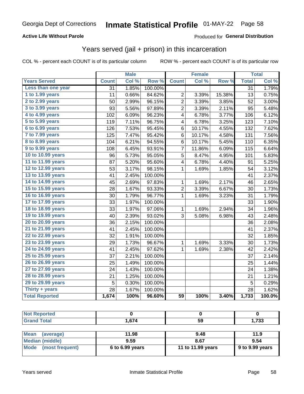#### **Active Life Without Parole**

#### Produced for General Distribution

### Years served (jail + prison) in this incarceration

COL % - percent each COUNT is of its particular column

|                       |                 | <b>Male</b> |         |                         | <b>Female</b> |        |                 | <b>Total</b> |
|-----------------------|-----------------|-------------|---------|-------------------------|---------------|--------|-----------------|--------------|
| <b>Years Served</b>   | <b>Count</b>    | Col %       | Row %   | <b>Count</b>            | Col %         | Row %  | <b>Total</b>    | Col %        |
| Less than one year    | $\overline{31}$ | 1.85%       | 100.00% |                         |               |        | $\overline{31}$ | 1.79%        |
| 1 to 1.99 years       | 11              | 0.66%       | 84.62%  | 2                       | 3.39%         | 15.38% | 13              | 0.75%        |
| 2 to 2.99 years       | 50              | 2.99%       | 96.15%  | $\overline{c}$          | 3.39%         | 3.85%  | 52              | 3.00%        |
| 3 to 3.99 years       | 93              | 5.56%       | 97.89%  | $\overline{\mathbf{c}}$ | 3.39%         | 2.11%  | 95              | 5.48%        |
| 4 to 4.99 years       | 102             | 6.09%       | 96.23%  | 4                       | 6.78%         | 3.77%  | 106             | 6.12%        |
| 5 to 5.99 years       | 119             | 7.11%       | 96.75%  | 4                       | 6.78%         | 3.25%  | 123             | 7.10%        |
| 6 to 6.99 years       | 126             | 7.53%       | 95.45%  | 6                       | 10.17%        | 4.55%  | 132             | 7.62%        |
| 7 to 7.99 years       | 125             | 7.47%       | 95.42%  | 6                       | 10.17%        | 4.58%  | 131             | 7.56%        |
| 8 to 8.99 years       | 104             | 6.21%       | 94.55%  | 6                       | 10.17%        | 5.45%  | 110             | 6.35%        |
| 9 to 9.99 years       | 108             | 6.45%       | 93.91%  | 7                       | 11.86%        | 6.09%  | 115             | 6.64%        |
| 10 to 10.99 years     | 96              | 5.73%       | 95.05%  | 5                       | 8.47%         | 4.95%  | 101             | 5.83%        |
| 11 to 11.99 years     | 87              | 5.20%       | 95.60%  | 4                       | 6.78%         | 4.40%  | 91              | 5.25%        |
| 12 to 12.99 years     | 53              | 3.17%       | 98.15%  | 1                       | 1.69%         | 1.85%  | 54              | 3.12%        |
| 13 to 13.99 years     | 41              | 2.45%       | 100.00% |                         |               |        | 41              | 2.37%        |
| 14 to 14.99 years     | 45              | 2.69%       | 97.83%  | 1                       | 1.69%         | 2.17%  | 46              | 2.65%        |
| 15 to 15.99 years     | 28              | 1.67%       | 93.33%  | $\overline{c}$          | 3.39%         | 6.67%  | 30              | 1.73%        |
| 16 to 16.99 years     | 30              | 1.79%       | 96.77%  | $\mathbf{1}$            | 1.69%         | 3.23%  | 31              | 1.79%        |
| 17 to 17.99 years     | 33              | 1.97%       | 100.00% |                         |               |        | 33              | 1.90%        |
| 18 to 18.99 years     | 33              | 1.97%       | 97.06%  | 1                       | 1.69%         | 2.94%  | 34              | 1.96%        |
| 19 to 19.99 years     | 40              | 2.39%       | 93.02%  | 3                       | 5.08%         | 6.98%  | 43              | 2.48%        |
| 20 to 20.99 years     | 36              | 2.15%       | 100.00% |                         |               |        | 36              | 2.08%        |
| 21 to 21.99 years     | 41              | 2.45%       | 100.00% |                         |               |        | 41              | 2.37%        |
| 22 to 22.99 years     | 32              | 1.91%       | 100.00% |                         |               |        | 32              | 1.85%        |
| 23 to 23.99 years     | 29              | 1.73%       | 96.67%  | 1                       | 1.69%         | 3.33%  | 30              | 1.73%        |
| 24 to 24.99 years     | 41              | 2.45%       | 97.62%  | 1                       | 1.69%         | 2.38%  | 42              | 2.42%        |
| 25 to 25.99 years     | 37              | 2.21%       | 100.00% |                         |               |        | 37              | 2.14%        |
| 26 to 26.99 years     | 25              | 1.49%       | 100.00% |                         |               |        | 25              | 1.44%        |
| 27 to 27.99 years     | 24              | 1.43%       | 100.00% |                         |               |        | 24              | 1.38%        |
| 28 to 28.99 years     | 21              | 1.25%       | 100.00% |                         |               |        | 21              | 1.21%        |
| 29 to 29.99 years     | 5               | 0.30%       | 100.00% |                         |               |        | 5               | 0.29%        |
| Thirty + years        | 28              | 1.67%       | 100.00% |                         |               |        | 28              | 1.62%        |
| <b>Total Reported</b> | 1,674           | 100%        | 96.60%  | $\overline{59}$         | 100%          | 3.40%  | 1,733           | 100.0%       |

| <b>Not Reported</b> |       |    |       |
|---------------------|-------|----|-------|
| <b>Grand Total</b>  | 1,674 | 59 | 1,733 |
|                     |       |    |       |

| <b>Mean</b><br>(average) | 11.98             | 9.48              | 11.9            |
|--------------------------|-------------------|-------------------|-----------------|
| Median (middle)          | 9.59              | 8.67              | 9.54            |
| Mode (most frequent)     | $6$ to 6.99 years | 11 to 11.99 years | 9 to 9.99 years |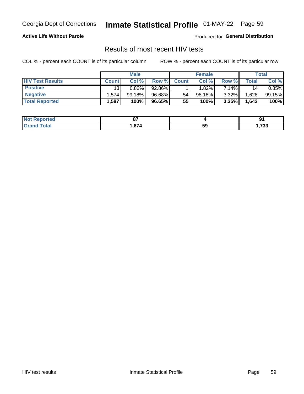## Inmate Statistical Profile 01-MAY-22 Page 59

#### **Active Life Without Parole**

Produced for General Distribution

### Results of most recent HIV tests

COL % - percent each COUNT is of its particular column

|                         | <b>Male</b>     |           |        | <b>Female</b> |        |          | Total |        |
|-------------------------|-----------------|-----------|--------|---------------|--------|----------|-------|--------|
| <b>HIV Test Results</b> | <b>Count</b>    | Col %     | Row %I | <b>Count</b>  | Col %  | Row %    | Total | Col %  |
| <b>Positive</b>         | 13 <sub>1</sub> | 0.82%     | 92.86% |               | 1.82%  | 7.14%    | 14    | 0.85%  |
| <b>Negative</b>         | .574            | $99.18\%$ | 96.68% | 54            | 98.18% | $3.32\%$ | .628  | 99.15% |
| <b>Total Reported</b>   | .587            | 100%      | 96.65% | 55            | 100%   | 3.35%    | 1,642 | 100%   |

| <b>Not Reported</b> | ~-   |    | m             |
|---------------------|------|----|---------------|
| <b>Total</b>        | .674 | 59 | フクク<br>, , აა |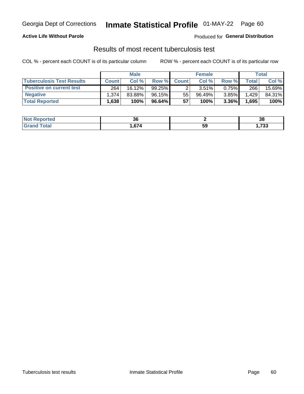## Georgia Dept of Corrections **Inmate Statistical Profile** 01-MAY-22 Page 60

#### **Active Life Without Parole**

Produced for **General Distribution**

### Results of most recent tuberculosis test

COL % - percent each COUNT is of its particular column ROW % - percent each COUNT is of its particular row

|                                  | <b>Male</b>  |        |           | <b>Female</b> |          |          | Total        |        |
|----------------------------------|--------------|--------|-----------|---------------|----------|----------|--------------|--------|
| <b>Tuberculosis Test Results</b> | <b>Count</b> | Col %  | Row %I    | <b>Count</b>  | Col %    | Row %    | <b>Total</b> | Col %  |
| <b>Positive on current test</b>  | 264          | 16.12% | $99.25\%$ |               | $3.51\%$ | 0.75%    | 266          | 15.69% |
| <b>Negative</b>                  | l.374        | 83.88% | 96.15%    | 55            | 96.49%   | $3.85\%$ | .429         | 84.31% |
| <b>Total Reported</b>            | .638         | 100%   | 96.64%    | 57            | 100%     | $3.36\%$ | 1,695        | 100%   |

| <b>Not Reported</b> | ათ  |    | າເ<br>၁၀      |
|---------------------|-----|----|---------------|
| Total               | 674 | 59 | 700<br>, , აა |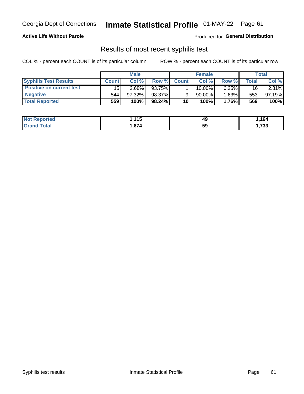## Georgia Dept of Corrections **Inmate Statistical Profile** 01-MAY-22 Page 61

#### **Active Life Without Parole**

Produced for **General Distribution**

### Results of most recent syphilis test

COL % - percent each COUNT is of its particular column ROW % - percent each COUNT is of its particular row

|                                 | <b>Male</b>  |           |        | <b>Female</b> |           |          | Total   |        |
|---------------------------------|--------------|-----------|--------|---------------|-----------|----------|---------|--------|
| <b>Syphilis Test Results</b>    | <b>Count</b> | Col%      | Row %  | <b>Count</b>  | Col%      | Row %    | ⊤otal ⊦ | Col %  |
| <b>Positive on current test</b> | 15           | $2.68\%$  | 93.75% |               | $10.00\%$ | $6.25\%$ | 16      | 2.81%  |
| <b>Negative</b>                 | 544          | $97.32\%$ | 98.37% |               | 90.00%    | $1.63\%$ | 553     | 97.19% |
| <b>Total Reported</b>           | 559          | 100%      | 98.24% | 10            | 100%      | 1.76%    | 569     | 100%   |

| <b>Not Reported</b> | 115<br>7. I I J | 49 | .164 |
|---------------------|-----------------|----|------|
| <b>Grand Total</b>  | ,674            | 59 | ,733 |